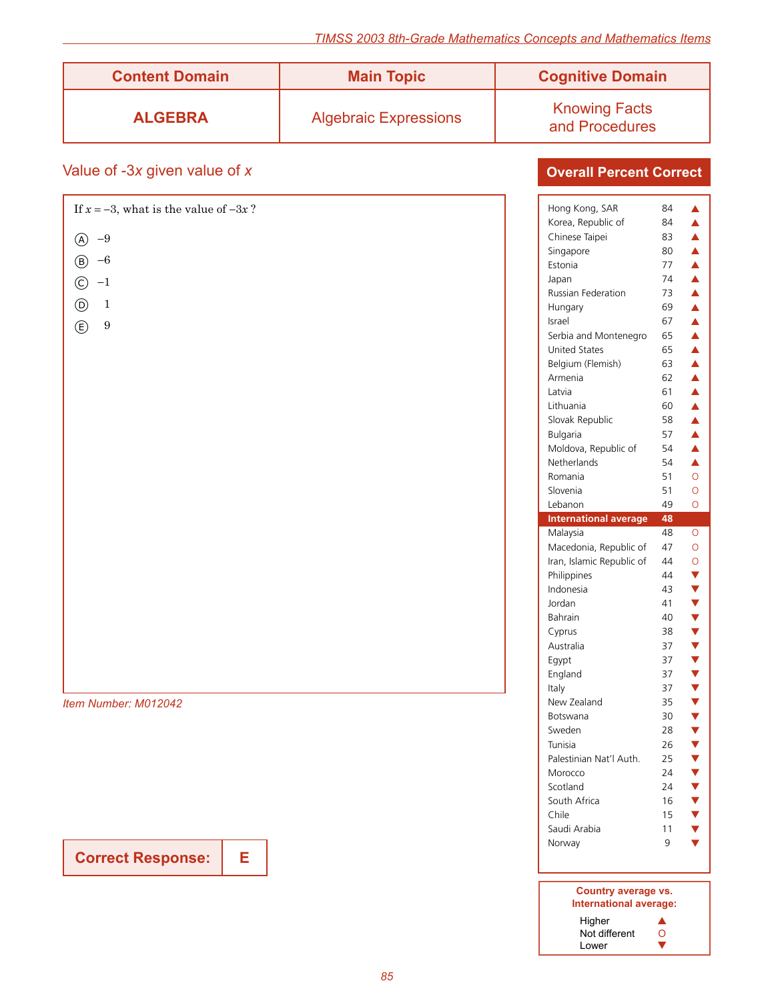| <b>Content Domain</b> | <b>Main Topic</b>            | <b>Cognitive Domain</b>                |
|-----------------------|------------------------------|----------------------------------------|
| <b>ALGEBRA</b>        | <b>Algebraic Expressions</b> | <b>Knowing Facts</b><br>and Procedures |

# Value of -3*x* given value of *x*

| If $x = -3$ , what is the value of $-3x$ ? | Hong Kong, SAR<br>84                                 |
|--------------------------------------------|------------------------------------------------------|
|                                            | Korea, Republic of<br>84                             |
| $-9$<br>$^{\circledR}$                     | Chinese Taipei<br>83<br>Singapore<br>80              |
| $-6$<br>$^\circledR$                       | Estonia<br>77                                        |
| $-1$                                       | 74<br>Japan                                          |
| $\odot$                                    | Russian Federation<br>73                             |
| $^{\copyright}$<br>$\mathbf{1}$            | 69<br>Hungary                                        |
| $\circledE$<br>$\boldsymbol{9}$            | 67<br>Israel                                         |
|                                            | Serbia and Montenegro<br>65                          |
|                                            | United States<br>65                                  |
|                                            | Belgium (Flemish)<br>63                              |
|                                            | Armenia<br>62                                        |
|                                            | Latvia<br>61                                         |
|                                            | Lithuania<br>60                                      |
|                                            | 58<br>Slovak Republic                                |
|                                            | Bulgaria<br>57                                       |
|                                            | Moldova, Republic of<br>54                           |
|                                            | Netherlands<br>54                                    |
|                                            | Romania<br>51                                        |
|                                            | Slovenia<br>51                                       |
|                                            | Lebanon<br>49                                        |
|                                            | <b>International average</b><br>48<br>Malaysia<br>48 |
|                                            | Macedonia, Republic of<br>47                         |
|                                            | Iran, Islamic Republic of<br>44                      |
|                                            | Philippines<br>44                                    |
|                                            | Indonesia<br>43                                      |
|                                            | Jordan<br>41                                         |
|                                            | Bahrain<br>40                                        |
|                                            | Cyprus<br>38                                         |
|                                            | Australia<br>37                                      |
|                                            | Egypt<br>37                                          |
|                                            | England<br>37                                        |
|                                            | Italy<br>37                                          |
| Item Number: M012042                       | New Zealand<br>35                                    |
|                                            | 30<br>Botswana                                       |
|                                            | Sweden<br>28                                         |
|                                            | Tunisia<br>26                                        |
|                                            | 25<br>Palestinian Nat'l Auth.                        |
|                                            | Morocco<br>24                                        |
|                                            | Scotland<br>24                                       |
|                                            | South Africa<br>16                                   |
|                                            |                                                      |
|                                            | Chile<br>15<br>Saudi Arabia<br>11                    |

**Correct Response:** | E

**Overall Percent Correct**

| iliterilational average   | 40 |                             |
|---------------------------|----|-----------------------------|
| Malaysia                  | 48 | $\overline{O}$              |
| Macedonia, Republic of    | 47 | $\circ$                     |
| Iran, Islamic Republic of | 44 |                             |
| Philippines               | 44 |                             |
| Indonesia                 | 43 |                             |
| Jordan                    | 41 |                             |
| Bahrain                   | 40 |                             |
| Cyprus                    | 38 |                             |
| Australia                 | 37 | <b>○▼▼▼▼▼▼▼▼▼▼▼▼▼▼▼▼▼▼▼</b> |
| Egypt                     | 37 |                             |
| England                   | 37 |                             |
| Italy                     | 37 |                             |
| New Zealand               | 35 |                             |
| Botswana                  | 30 |                             |
| Sweden                    | 28 |                             |
| Tunisia                   | 26 |                             |
| Palestinian Nat'l Auth.   | 25 |                             |
| Morocco                   | 24 |                             |
| Scotland                  | 24 |                             |
| South Africa              | 16 |                             |
| Chile                     | 15 |                             |
| Saudi Arabia              | 11 |                             |
| Norway                    | 9  |                             |
|                           |    |                             |

#### **Country average vs. International average:** Higher  $\blacktriangle$ Not different O Lower  $\blacksquare$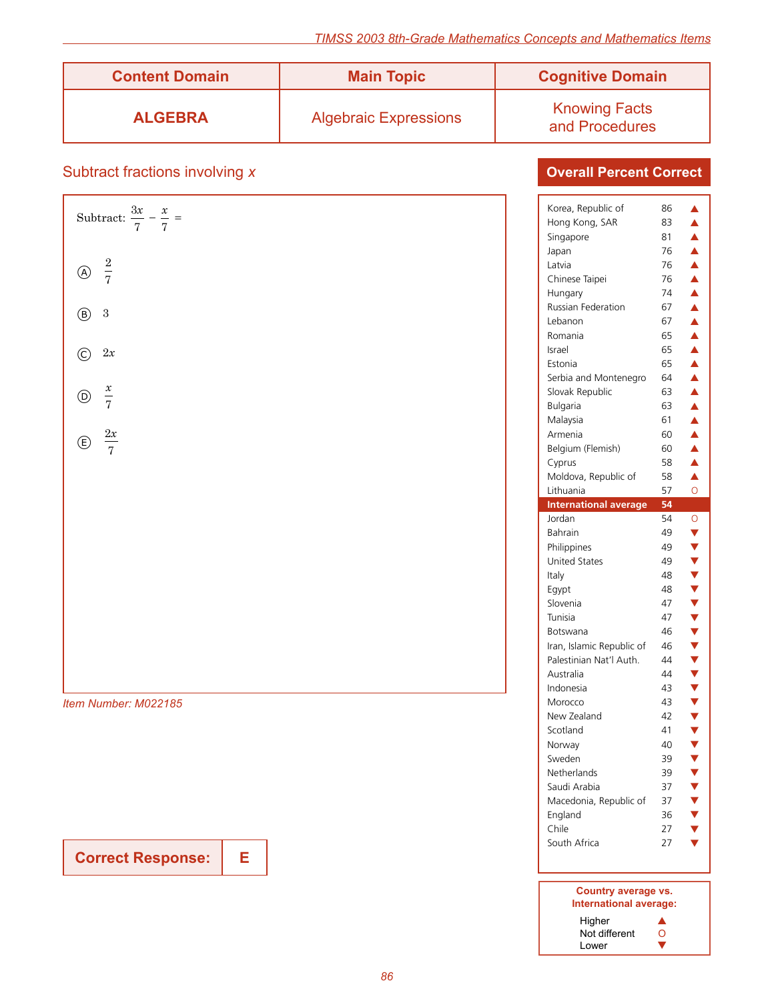| <b>Content Domain</b> | <b>Main Topic</b>            | <b>Cognitive Domain</b>                |
|-----------------------|------------------------------|----------------------------------------|
| <b>ALGEBRA</b>        | <b>Algebraic Expressions</b> | <b>Knowing Facts</b><br>and Procedures |

# Subtract fractions involving *x*

| Subtract: $\frac{3x}{7} - \frac{x}{7} =$ |
|------------------------------------------|
| (A) $\frac{2}{7}$                        |
| $\circledB$ 3                            |
| $\odot$<br>2x                            |
| $\bigcirc$ $\frac{x}{7}$                 |
| $\bigoplus \frac{2x}{7}$                 |
|                                          |
|                                          |
|                                          |
|                                          |
|                                          |
| Item Number: M022185                     |

**Correct Response: E**

| Korea, Republic of           | 86 | ▲                                       |
|------------------------------|----|-----------------------------------------|
| Hong Kong, SAR               | 83 | $\blacktriangle$                        |
| Singapore                    | 81 | $\blacktriangle$                        |
| Japan                        | 76 | $\blacktriangle$                        |
| Latvia                       | 76 | $\blacktriangle$                        |
| Chinese Taipei               | 76 | $\blacktriangle$                        |
| Hungary                      | 74 | $\blacktriangle$                        |
| <b>Russian Federation</b>    | 67 | $\blacktriangle$                        |
| Lebanon                      | 67 | $\blacktriangle$                        |
| Romania                      | 65 | $\blacktriangle$                        |
| Israel                       | 65 |                                         |
| Estonia                      | 65 | $\frac{\blacktriangle}{\blacktriangle}$ |
| Serbia and Montenegro        | 64 | $\blacktriangle$                        |
| Slovak Republic              | 63 | $\blacktriangle$                        |
| Bulgaria                     | 63 | $\blacktriangle$                        |
| Malaysia                     | 61 | $\blacktriangle$                        |
| Armenia                      | 60 | $\blacktriangle$                        |
| Belgium (Flemish)            | 60 | $\blacktriangle$                        |
| Cyprus                       | 58 | $\blacktriangle$                        |
| Moldova, Republic of         | 58 | $\blacktriangle$                        |
| Lithuania                    | 57 | $\overline{O}$                          |
| <b>International average</b> | 54 |                                         |
| Jordan                       | 54 | $\vec{o}$                               |
|                              |    |                                         |
| Bahrain                      | 49 |                                         |
| Philippines                  | 49 |                                         |
| <b>United States</b>         | 49 |                                         |
| Italy                        | 48 |                                         |
| Egypt                        | 48 |                                         |
| Slovenia                     | 47 |                                         |
| Tunisia                      | 47 |                                         |
| Botswana                     | 46 |                                         |
| Iran, Islamic Republic of    | 46 |                                         |
| Palestinian Nat'l Auth.      | 44 |                                         |
| Australia                    | 44 |                                         |
| Indonesia                    | 43 |                                         |
| Morocco                      | 43 |                                         |
| New Zealand                  | 42 |                                         |
| Scotland                     | 41 | ▼▼▼▼▼▼▼▼▼▼▼▼▼▼▼▼                        |
| Norway                       | 40 |                                         |
| Sweden                       | 39 |                                         |
| Netherlands                  | 39 |                                         |
| Saudi Arabia                 | 37 |                                         |
| Macedonia, Republic of       | 37 |                                         |
| England                      | 36 |                                         |
| Chile                        | 27 |                                         |
| South Africa                 | 27 |                                         |

| Country average vs.<br>International average: |  |  |
|-----------------------------------------------|--|--|
| Higher                                        |  |  |
| Not different<br>0                            |  |  |
| Lower                                         |  |  |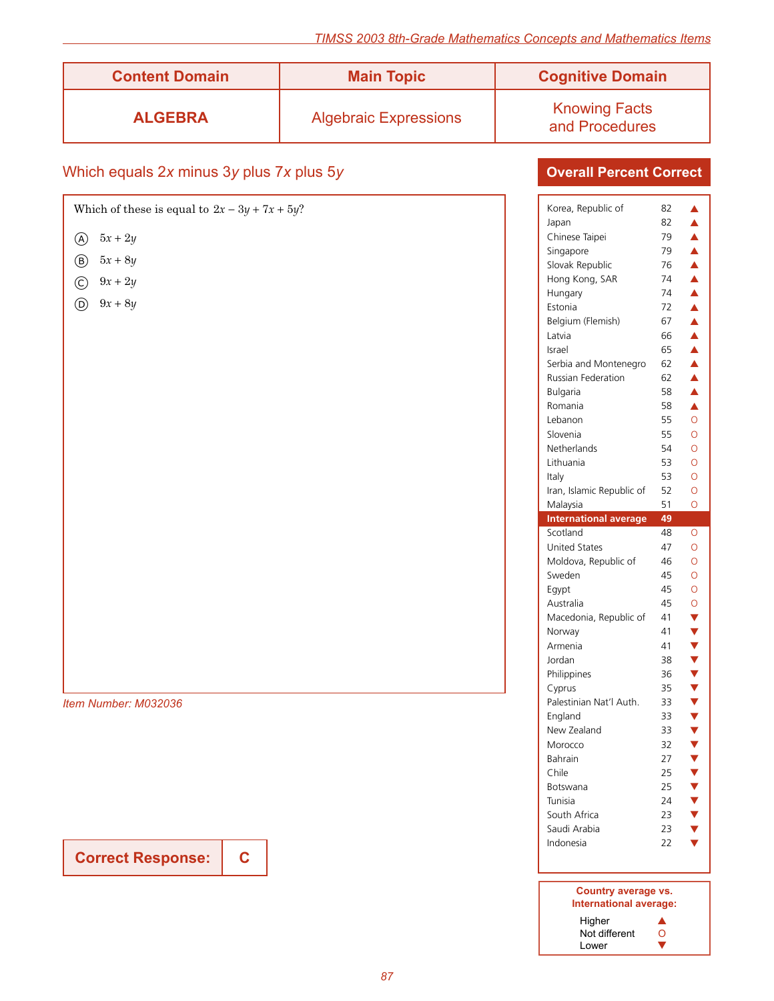| <b>Content Domain</b> | <b>Main Topic</b>            | <b>Cognitive Domain</b>                |
|-----------------------|------------------------------|----------------------------------------|
| <b>ALGEBRA</b>        | <b>Algebraic Expressions</b> | <b>Knowing Facts</b><br>and Procedures |

# Which equals 2*x* minus 3*y* plus 7*x* plus 5*y*

| Which of these is equal to $2x - 3y + 7x + 5y$ ? |  |
|--------------------------------------------------|--|
| $5x + 2y$<br>$\circledA$                         |  |
| $5x+8y$<br>$\circled{B}$                         |  |
| $\bigodot$ 9x + 2y                               |  |
| $9x + 8y$<br>$\circledcirc$                      |  |
|                                                  |  |
|                                                  |  |
|                                                  |  |
|                                                  |  |
|                                                  |  |
|                                                  |  |
|                                                  |  |
|                                                  |  |
|                                                  |  |
|                                                  |  |
|                                                  |  |
|                                                  |  |
|                                                  |  |
|                                                  |  |
|                                                  |  |
|                                                  |  |
|                                                  |  |
| Item Number: M032036                             |  |
|                                                  |  |

**Correct Response: C**

| Korea, Republic of           | 82 | ▲                                    |
|------------------------------|----|--------------------------------------|
| Japan                        | 82 | $\blacktriangle$                     |
| Chinese Taipei               | 79 | $\blacktriangle$                     |
| Singapore                    | 79 | $\blacktriangle$                     |
|                              |    | $\blacktriangle$                     |
| Slovak Republic              | 76 |                                      |
| Hong Kong, SAR               | 74 | $\blacktriangle$                     |
| Hungary                      | 74 | $\blacktriangle$<br>$\blacktriangle$ |
| Estonia                      | 72 |                                      |
| Belgium (Flemish)            | 67 | $\blacktriangle$                     |
| Latvia                       | 66 | $\blacktriangle$                     |
| Israel                       | 65 | $\blacktriangle$                     |
| Serbia and Montenegro        | 62 | $\blacktriangle$                     |
| Russian Federation           | 62 | $\blacktriangle$                     |
| Bulgaria                     | 58 | $\blacktriangle$                     |
| Romania                      | 58 | $\blacktriangle$                     |
| Lebanon                      | 55 | Ō                                    |
| Slovenia                     | 55 | Ō                                    |
| Netherlands                  | 54 | Ō                                    |
| Lithuania                    | 53 | Ō                                    |
| Italy                        | 53 | Ō                                    |
| Iran, Islamic Republic of    | 52 | O                                    |
| Malaysia                     | 51 | Ō                                    |
| <b>International average</b> | 49 |                                      |
| Scotland                     | 48 | O                                    |
|                              |    |                                      |
|                              |    |                                      |
| <b>United States</b>         | 47 | Ō                                    |
| Moldova, Republic of         | 46 | Ō                                    |
| Sweden                       | 45 | Ō                                    |
| Egypt                        | 45 | O                                    |
| Australia                    | 45 | O                                    |
| Macedonia, Republic of       | 41 | Y                                    |
| Norway                       | 41 |                                      |
| Armenia                      | 41 | $\blacktriangledown$                 |
| Jordan                       | 38 |                                      |
| Philippines                  | 36 |                                      |
| Cyprus                       | 35 |                                      |
| Palestinian Nat'l Auth.      | 33 |                                      |
| England                      | 33 |                                      |
| New Zealand                  | 33 |                                      |
| Morocco                      | 32 | <b>V V V V V V V V</b>               |
|                              |    |                                      |
| Bahrain                      | 27 |                                      |
| Chile                        | 25 |                                      |
| Botswana                     | 25 |                                      |
| Tunisia                      | 24 |                                      |
| South Africa                 | 23 |                                      |
| Saudi Arabia                 | 23 | <b>&gt; &gt; &gt; + +</b>            |
| Indonesia                    | 22 |                                      |
|                              |    |                                      |

| Country average vs.<br>International average: |  |
|-----------------------------------------------|--|
| Higher                                        |  |
| Not different<br>0                            |  |
| Lower                                         |  |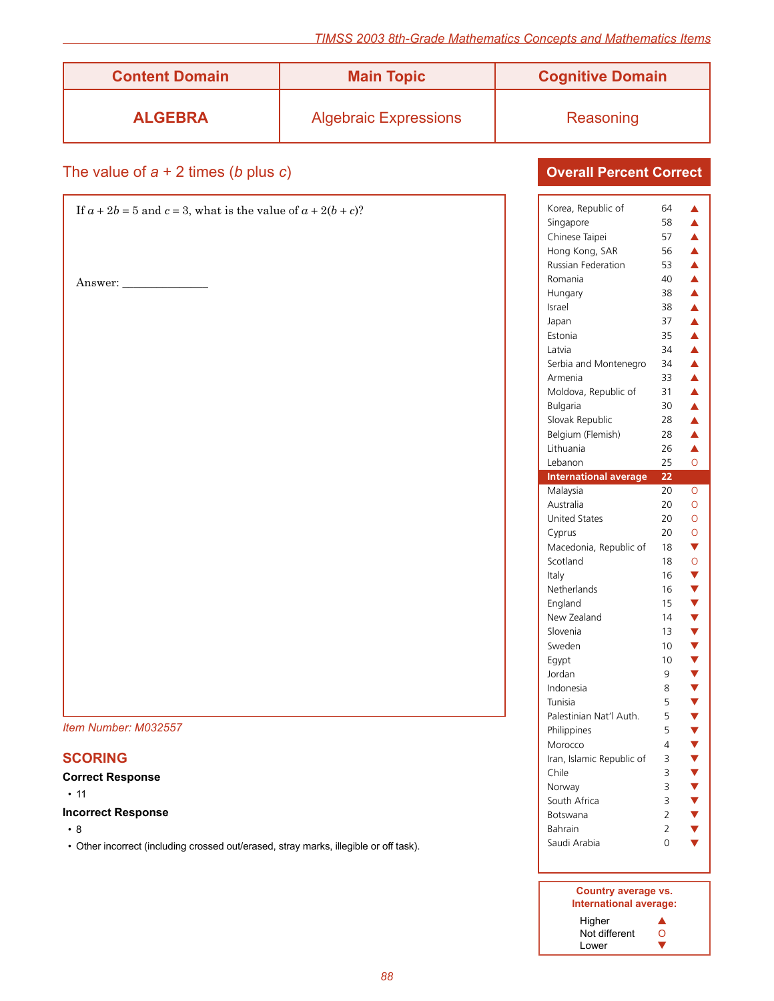| <b>Content Domain</b> | <b>Main Topic</b>            | <b>Cognitive Domain</b> |
|-----------------------|------------------------------|-------------------------|
| <b>ALGEBRA</b>        | <b>Algebraic Expressions</b> | Reasoning               |

### The value of *a* + 2 times (*b* plus *c*)

| If $a + 2b = 5$ and $c = 3$ , what is the value of $a + 2(b + c)$ ? | Korea        |
|---------------------------------------------------------------------|--------------|
|                                                                     | Singa        |
|                                                                     | Chine        |
|                                                                     | Hong         |
|                                                                     | Russia       |
| Answer:                                                             | Roma         |
|                                                                     | Hung         |
|                                                                     | Israel       |
|                                                                     | Japan        |
|                                                                     | Eston        |
|                                                                     | Latvia       |
|                                                                     | Serbia       |
|                                                                     | Arme         |
|                                                                     | Mold         |
|                                                                     | <b>Bulga</b> |
|                                                                     | Sloval       |
|                                                                     | Belgiu       |
|                                                                     | Lithua       |
|                                                                     | Lebar        |
|                                                                     | Inter        |
|                                                                     | Malay        |
|                                                                     | Austr        |
|                                                                     | Unite        |
|                                                                     | Cypru        |
|                                                                     | Mace         |
|                                                                     | Scotla       |
|                                                                     | Italy        |
|                                                                     | Nethe        |
|                                                                     | Engla        |
|                                                                     | New 2        |
|                                                                     | Slover       |
|                                                                     | Swed         |
|                                                                     | Egypt        |
|                                                                     | Jorda        |
|                                                                     | Indon        |
|                                                                     | Tunisi       |
|                                                                     | Palest       |

*Item Number: M032557*

### **SCORING**

#### **Correct Response**

 $• 11$ 

#### **Incorrect Response**

 $\cdot$  8

• Other incorrect (including crossed out/erased, stray marks, illegible or off task).

### **Overall Percent Correct**

| Korea, Republic of<br>Singapore<br>Chinese Taipei<br>Hong Kong, SAR<br>Russian Federation<br>Romania<br>Hungary<br>Israel<br>Japan<br>Estonia<br>Latvia<br>Serbia and Montenegro<br>Armenia<br>Moldova, Republic of<br>Bulgaria | 64<br>58<br>57<br>56<br>53<br>40<br>38<br>38<br>37<br>35<br>34<br>34<br>33<br>31<br>30 | ▲<br>▲<br>$\blacktriangle$<br>$\blacktriangle$<br>$\blacktriangle$<br>$\blacktriangle$<br>$\blacktriangle$<br>$\blacktriangle$<br>$\blacktriangle$<br>$\blacktriangle$<br>$\blacktriangle$<br>$\blacktriangle$<br>$\blacktriangle$<br>$\blacktriangle$<br>▲ |
|---------------------------------------------------------------------------------------------------------------------------------------------------------------------------------------------------------------------------------|----------------------------------------------------------------------------------------|-------------------------------------------------------------------------------------------------------------------------------------------------------------------------------------------------------------------------------------------------------------|
| Slovak Republic                                                                                                                                                                                                                 | 28                                                                                     | $\blacktriangle$                                                                                                                                                                                                                                            |
| Belgium (Flemish)                                                                                                                                                                                                               | 28                                                                                     | $\blacktriangle$                                                                                                                                                                                                                                            |
| Lithuania                                                                                                                                                                                                                       | 26                                                                                     | $\blacktriangle$                                                                                                                                                                                                                                            |
| Lebanon                                                                                                                                                                                                                         | 25<br>22                                                                               | Ō                                                                                                                                                                                                                                                           |
| <b>International average</b><br>Malaysia                                                                                                                                                                                        | 20                                                                                     | $\overline{O}$                                                                                                                                                                                                                                              |
| Australia<br><b>United States</b>                                                                                                                                                                                               | 20<br>20                                                                               | $\overline{O}$<br>$\overline{O}$                                                                                                                                                                                                                            |
| Cyprus                                                                                                                                                                                                                          | 20                                                                                     | $\overline{O}$                                                                                                                                                                                                                                              |
| Macedonia, Republic of                                                                                                                                                                                                          | 18                                                                                     | $\blacktriangledown$                                                                                                                                                                                                                                        |
| Scotland                                                                                                                                                                                                                        | 18                                                                                     | $\circ$                                                                                                                                                                                                                                                     |
| Italy<br>Netherlands                                                                                                                                                                                                            | 16                                                                                     | <b>▼▼▼▼▼▼▼▼▼▼▼▼▼▼</b>                                                                                                                                                                                                                                       |
|                                                                                                                                                                                                                                 | 16<br>15                                                                               |                                                                                                                                                                                                                                                             |
| England<br>New Zealand                                                                                                                                                                                                          | 14                                                                                     |                                                                                                                                                                                                                                                             |
| Slovenia                                                                                                                                                                                                                        | 13                                                                                     |                                                                                                                                                                                                                                                             |
| Sweden                                                                                                                                                                                                                          | 10                                                                                     |                                                                                                                                                                                                                                                             |
| Egypt                                                                                                                                                                                                                           | 10                                                                                     |                                                                                                                                                                                                                                                             |
| Jordan                                                                                                                                                                                                                          | 9                                                                                      |                                                                                                                                                                                                                                                             |
| Indonesia                                                                                                                                                                                                                       | 8                                                                                      |                                                                                                                                                                                                                                                             |
| Tunisia                                                                                                                                                                                                                         | 5                                                                                      |                                                                                                                                                                                                                                                             |
| Palestinian Nat'l Auth.                                                                                                                                                                                                         | 5                                                                                      |                                                                                                                                                                                                                                                             |
| Philippines                                                                                                                                                                                                                     | 5                                                                                      |                                                                                                                                                                                                                                                             |
| Morocco                                                                                                                                                                                                                         | 4                                                                                      |                                                                                                                                                                                                                                                             |
| Iran, Islamic Republic of                                                                                                                                                                                                       | 3                                                                                      |                                                                                                                                                                                                                                                             |
| Chile                                                                                                                                                                                                                           |                                                                                        |                                                                                                                                                                                                                                                             |
| Norway                                                                                                                                                                                                                          | $\begin{array}{c} 3 \\ 3 \\ 2 \end{array}$                                             |                                                                                                                                                                                                                                                             |
| South Africa                                                                                                                                                                                                                    |                                                                                        |                                                                                                                                                                                                                                                             |
| <b>Botswana</b>                                                                                                                                                                                                                 |                                                                                        |                                                                                                                                                                                                                                                             |
| Bahrain                                                                                                                                                                                                                         | $\overline{c}$                                                                         | <b>V V V V V</b>                                                                                                                                                                                                                                            |
| Saudi Arabia                                                                                                                                                                                                                    | Ō                                                                                      |                                                                                                                                                                                                                                                             |

#### **Country average vs. International average:** Higher  $\blacktriangle$

| ו וועווידו    |          |
|---------------|----------|
| Not different | $\Omega$ |
| Lower         |          |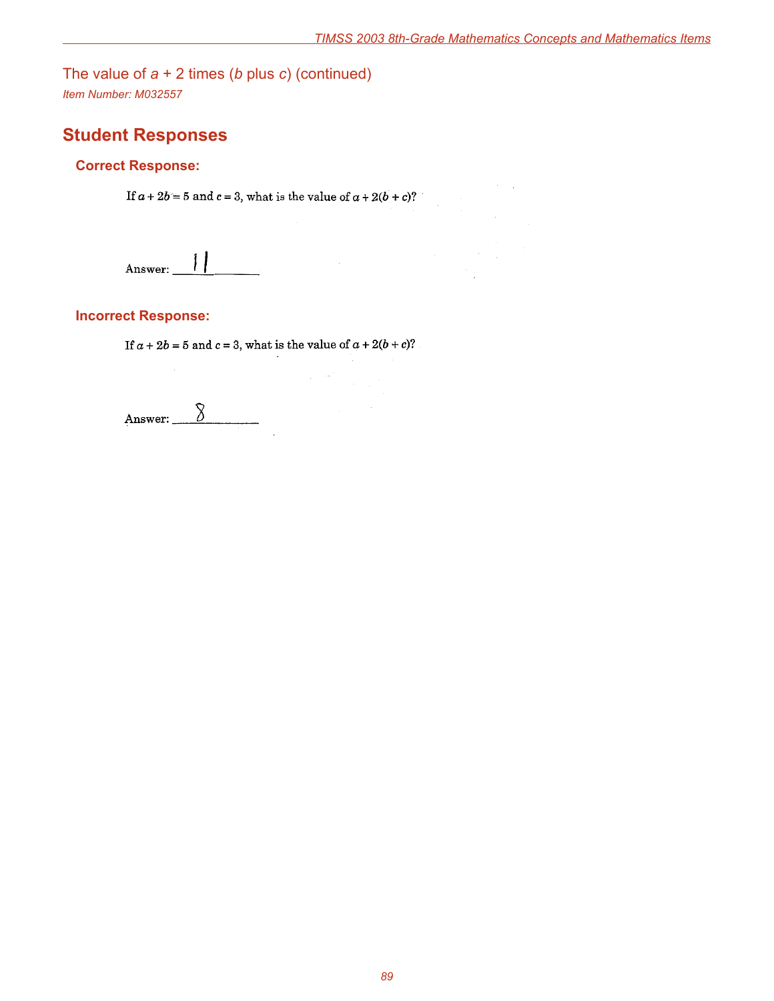The value of *a* + 2 times (*b* plus *c*) (continued) *Item Number: M032557*

# **Student Responses**

### **Correct Response:**

If  $a + 2b = 5$  and  $c = 3$ , what is the value of  $a + 2(b + c)$ ?

 $\prod$ Answer:

### **Incorrect Response:**

If  $a + 2b = 5$  and  $c = 3$ , what is the value of  $a + 2(b + c)$ ?

 $\mathcal{L}_{\mathcal{A}}$  $\mathcal{L}$ 

 $8$ Answer: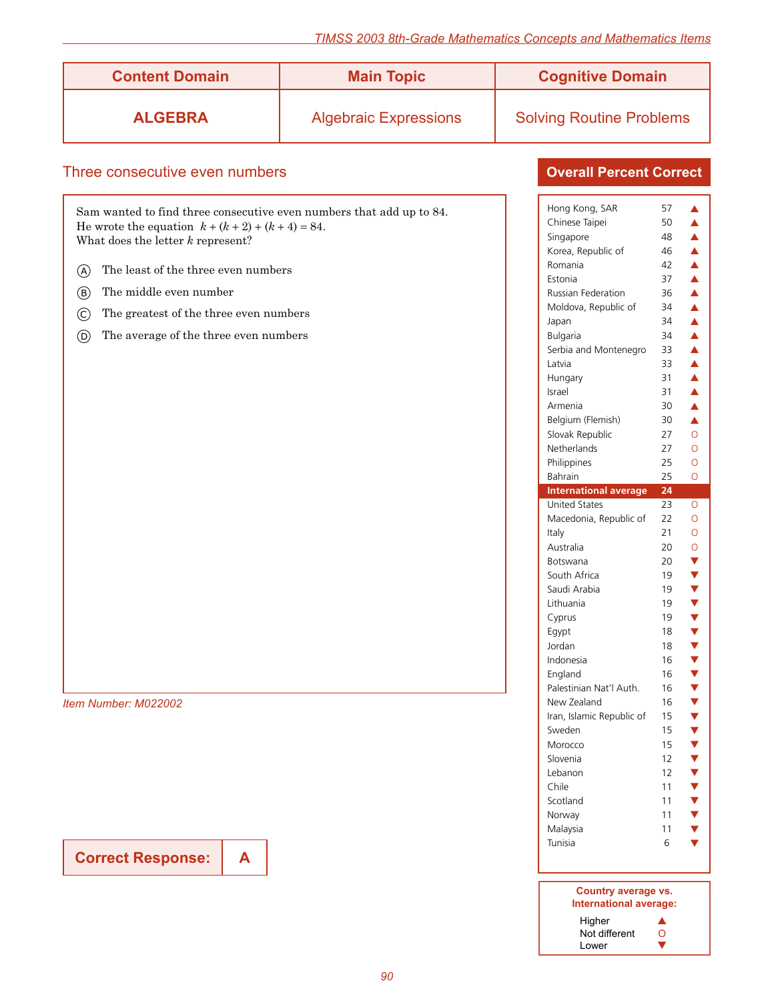| <u>orugo mathomatico</u>                                                                                                                                                                                                                                                                                                                                                 |                              |                                                                                                                                                                                                                                                                                                                                                                                                                                                                                                                                        |                                                                                                                                                                                                                                                                                                                                                                                                      |  |
|--------------------------------------------------------------------------------------------------------------------------------------------------------------------------------------------------------------------------------------------------------------------------------------------------------------------------------------------------------------------------|------------------------------|----------------------------------------------------------------------------------------------------------------------------------------------------------------------------------------------------------------------------------------------------------------------------------------------------------------------------------------------------------------------------------------------------------------------------------------------------------------------------------------------------------------------------------------|------------------------------------------------------------------------------------------------------------------------------------------------------------------------------------------------------------------------------------------------------------------------------------------------------------------------------------------------------------------------------------------------------|--|
| <b>Content Domain</b>                                                                                                                                                                                                                                                                                                                                                    | <b>Main Topic</b>            | <b>Cognitive Domain</b>                                                                                                                                                                                                                                                                                                                                                                                                                                                                                                                |                                                                                                                                                                                                                                                                                                                                                                                                      |  |
| <b>ALGEBRA</b>                                                                                                                                                                                                                                                                                                                                                           | <b>Algebraic Expressions</b> | <b>Solving Routine Problems</b>                                                                                                                                                                                                                                                                                                                                                                                                                                                                                                        |                                                                                                                                                                                                                                                                                                                                                                                                      |  |
|                                                                                                                                                                                                                                                                                                                                                                          |                              |                                                                                                                                                                                                                                                                                                                                                                                                                                                                                                                                        |                                                                                                                                                                                                                                                                                                                                                                                                      |  |
| Three consecutive even numbers                                                                                                                                                                                                                                                                                                                                           |                              | <b>Overall Percent Correct</b>                                                                                                                                                                                                                                                                                                                                                                                                                                                                                                         |                                                                                                                                                                                                                                                                                                                                                                                                      |  |
| Sam wanted to find three consecutive even numbers that add up to 84.<br>He wrote the equation $k + (k + 2) + (k + 4) = 84$ .<br>What does the letter $k$ represent?<br>The least of the three even numbers<br>(A)<br>The middle even number<br>(B)<br>The greatest of the three even numbers<br>$\circled{c}$<br>The average of the three even numbers<br>$\circledcirc$ |                              | Hong Kong, SAR<br>Chinese Taipei<br>Singapore<br>Korea, Republic of<br>Romania<br>Estonia<br>Russian Federation<br>Moldova, Republic of<br>Japan<br>Bulgaria<br>Serbia and Montenegro<br>Latvia<br>Hungary<br>Israel<br>Armenia<br>Belgium (Flemish)<br>Slovak Republic<br>Netherlands<br>Philippines<br>Bahrain<br><b>International average</b><br><b>United States</b><br>Macedonia, Republic of<br>Italy<br>Australia<br>Botswana<br>South Africa<br>Saudi Arabia<br>Lithuania<br>Cyprus<br>Egypt<br>Jordan<br>Indonesia<br>England | 57<br>▲<br>50<br>▲<br>48<br>▲<br>46<br>▲<br>42<br>▲<br>37<br>▲<br>36<br>▲<br>34<br>▲<br>34<br>▲<br>34<br>▲<br>33<br>▲<br>33<br>▲<br>31<br>▲<br>31<br>▲<br>30<br>▲<br>30<br>▲<br>27<br>$\circ$<br>27<br>$\circ$<br>25<br>O<br>25<br>$\circ$<br>24<br>23<br>$\circ$<br>22<br>$\circ$<br>21<br>$\circ$<br>20<br>$\circ$<br>20<br>V<br>19<br>v<br>▼<br>19<br>19<br>v<br>19<br>18<br>18<br>16<br>16<br>16 |  |
| Item Number: M022002                                                                                                                                                                                                                                                                                                                                                     |                              | Palestinian Nat'l Auth.<br>New Zealand<br>Iran, Islamic Republic of<br>Sweden<br>Morocco                                                                                                                                                                                                                                                                                                                                                                                                                                               | 16<br>v<br>15<br>V<br>15<br>v<br>15<br>V                                                                                                                                                                                                                                                                                                                                                             |  |
|                                                                                                                                                                                                                                                                                                                                                                          |                              | Slovenia<br>Lebanon<br>Chile                                                                                                                                                                                                                                                                                                                                                                                                                                                                                                           | 12<br>v<br>12<br>V<br>11<br>$\blacktriangledown$                                                                                                                                                                                                                                                                                                                                                     |  |

**Correct Response: A**

**Country average vs. International average:** Higher  $\blacktriangle$ Not different O Higher<br>Not different **Q**<br>Lower ▼

Scotland 11 **v** Norway 11  $\blacktriangledown$ Malaysia 11 ▼<br>Tunisia 6 ▼ Tunisia 6

*90*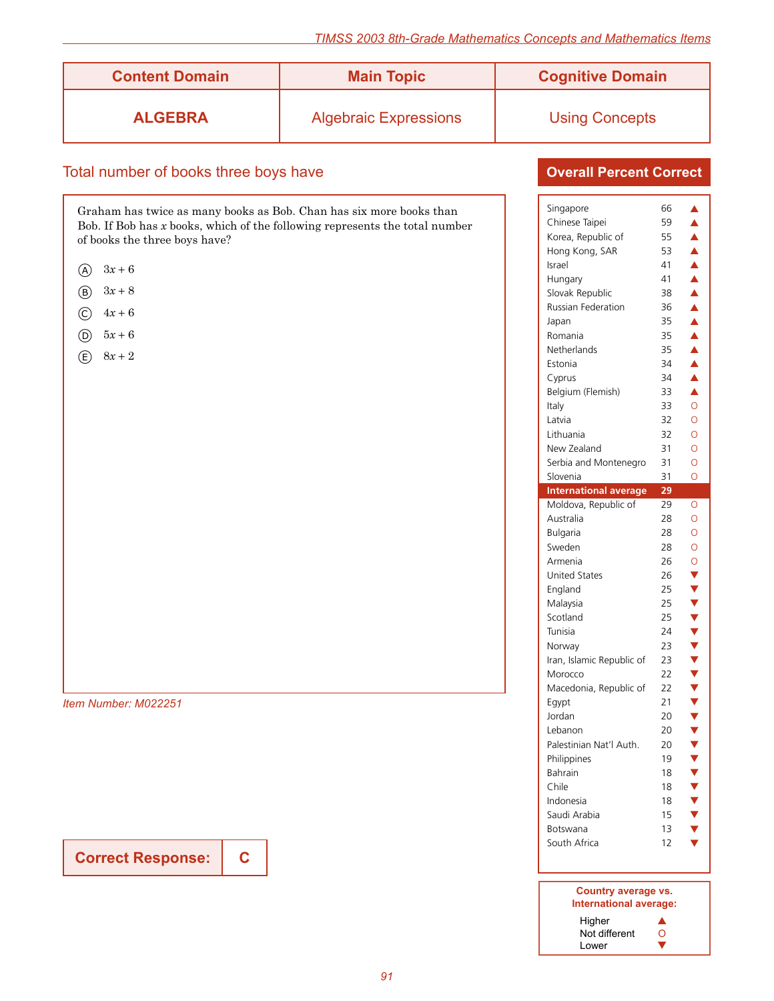| <b>Content Domain</b> | <b>Main Topic</b>            | <b>Cognitive Domain</b> |
|-----------------------|------------------------------|-------------------------|
| <b>ALGEBRA</b>        | <b>Algebraic Expressions</b> | <b>Using Concepts</b>   |

### Total number of books three boys have

Graham has twice as many books as Bob. Chan has six more books than Bob. If Bob has *x* books, which of the following represents the total number of books the three boys have?

- $(A)$   $3x + 6$
- b <sup>3</sup>*<sup>x</sup>* <sup>+</sup><sup>8</sup>
- (c)  $4x + 6$
- (b)  $5x + 6$
- $(E)$  8*x* + 2

*Item Number: M022251*

**Correct Response:**

**C**

### **Overall Percent Correct**

| Singapore                    | 66 | ▲                    |
|------------------------------|----|----------------------|
| Chinese Taipei               | 59 | ▲                    |
| Korea, Republic of           | 55 | $\blacktriangle$     |
| Hong Kong, SAR               | 53 | $\blacktriangle$     |
| Israel                       | 41 | $\blacktriangle$     |
| Hungary                      | 41 | $\blacktriangle$     |
| Slovak Republic              | 38 | Â                    |
| <b>Russian Federation</b>    | 36 | ▲                    |
| Japan                        | 35 | $\blacktriangle$     |
| Romania                      | 35 | $\blacktriangle$     |
| Netherlands                  | 35 | $\blacktriangle$     |
| Estonia                      | 34 | $\blacktriangle$     |
| Cyprus                       | 34 | $\blacktriangle$     |
| Belgium (Flemish)            | 33 | Á                    |
| Italy                        | 33 | $\overline{O}$       |
| Latvia                       | 32 | $\overline{O}$       |
| Lithuania                    | 32 | $\overline{O}$       |
| New Zealand                  | 31 | $\overline{O}$       |
| Serbia and Montenegro        | 31 | Ō                    |
| Slovenia                     | 31 | Ō                    |
| <b>International average</b> | 29 |                      |
| Moldova, Republic of         | 29 | Ō                    |
| Australia                    | 28 | $\overline{O}$       |
|                              |    |                      |
|                              |    |                      |
| <b>Bulgaria</b>              | 28 | $\overline{O}$       |
| Sweden                       | 28 | $\overline{O}$       |
| Armenia                      | 26 | $\circ$              |
| <b>United States</b>         | 26 |                      |
| England                      | 25 |                      |
| Malaysia                     | 25 |                      |
| Scotland                     | 25 |                      |
| Tunisia                      | 24 |                      |
| Norway                       | 23 |                      |
| Iran, Islamic Republic of    | 23 |                      |
| Morocco                      | 22 |                      |
| Macedonia, Republic of       | 22 |                      |
| Egypt                        | 21 |                      |
| Jordan                       | 20 |                      |
| Lebanon                      | 20 | <b>▼▼▼▼▼▼▼▼▼▼▼▼▼</b> |
| Palestinian Nat'l Auth.      | 20 |                      |
| Philippines                  | 19 |                      |
| Bahrain                      | 18 |                      |
| Chile                        | 18 |                      |
| Indonesia                    | 18 |                      |
| Saudi Arabia                 | 15 |                      |
| Botswana<br>South Africa     | 13 | <b>VVVV</b>          |
|                              | 12 |                      |

#### **Country average vs. International average:** Higher **A**<br>Not different O Not different O<br>Lower **V** Lower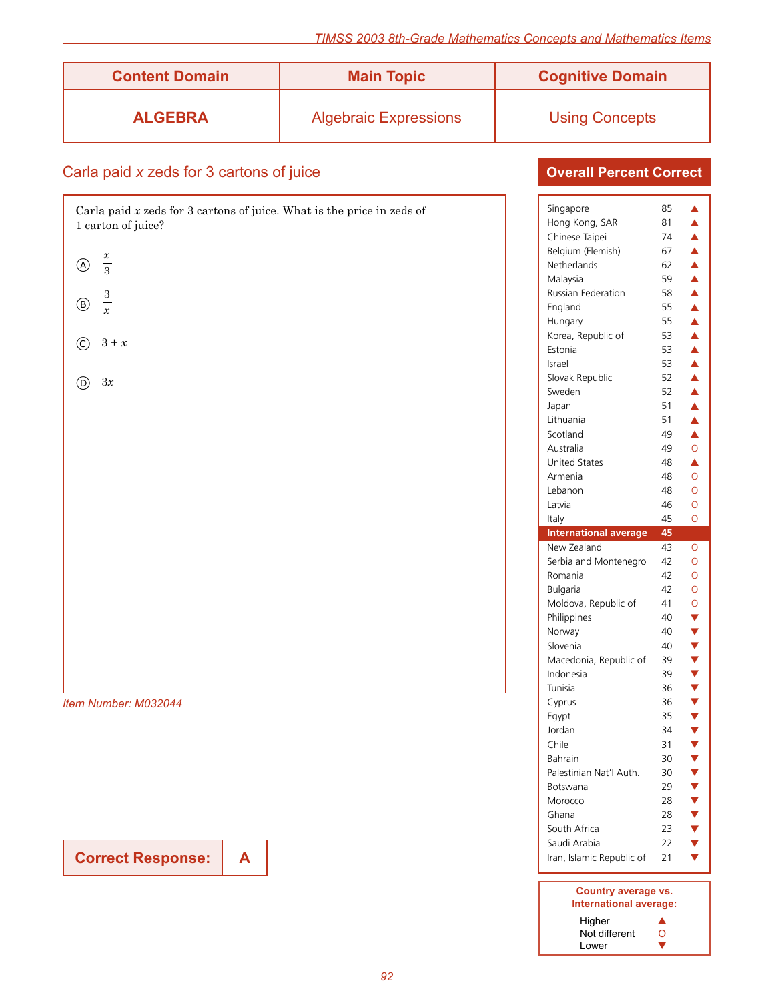| <b>Content Domain</b> | <b>Main Topic</b>            | <b>Cognitive Domain</b> |
|-----------------------|------------------------------|-------------------------|
| <b>ALGEBRA</b>        | <b>Algebraic Expressions</b> | <b>Using Concepts</b>   |

## Carla paid *x* zeds for 3 cartons of juice

| Carla paid $x$ zeds for 3 cartons of juice. What is the price in zeds of<br>1 carton of juice? |
|------------------------------------------------------------------------------------------------|
| $\frac{x}{3}$<br>$\circledA$                                                                   |
| $\frac{3}{x}$<br>$\circledB$                                                                   |
| $3 + x$<br>$\odot$                                                                             |
| 3x<br>$\circledcirc$                                                                           |
|                                                                                                |
|                                                                                                |
|                                                                                                |
|                                                                                                |
|                                                                                                |
|                                                                                                |
|                                                                                                |
| Item Number: M032044                                                                           |

**Correct Response:**

**A**

| Singapore                    | 85 | ▲                                  |
|------------------------------|----|------------------------------------|
| Hong Kong, SAR               | 81 | $\blacktriangle$                   |
| Chinese Taipei               | 74 | $\blacktriangle$                   |
| Belgium (Flemish)            | 67 | $\blacktriangle$                   |
| Netherlands                  | 62 | $\blacktriangle$                   |
| Malaysia                     | 59 | $\blacktriangle$                   |
| Russian Federation           | 58 | $\blacktriangle$                   |
| England                      | 55 | $\blacktriangle$                   |
| Hungary                      | 55 | $\blacktriangle$                   |
| Korea, Republic of           | 53 | $\blacktriangle$                   |
| Estonia                      | 53 | $\blacktriangle$                   |
| Israel                       | 53 | $\blacktriangle$                   |
| Slovak Republic              | 52 | $\blacktriangle$                   |
| Sweden                       | 52 | $\blacktriangle$                   |
| Japan                        | 51 | $\blacktriangle$                   |
| Lithuania                    | 51 | $\blacktriangle$                   |
| Scotland                     | 49 | $\blacktriangle$                   |
| Australia                    | 49 | $\overline{O}$                     |
| <b>United States</b>         | 48 | $\blacktriangle$                   |
| Armenia                      | 48 | Ō                                  |
| Lebanon                      | 48 | Ō                                  |
| Latvia                       | 46 | Ō                                  |
| Italy                        | 45 | Ō                                  |
| <b>International average</b> | 45 |                                    |
|                              |    |                                    |
| New Zealand                  | 43 | 0                                  |
| Serbia and Montenegro        | 42 | O                                  |
| Romania                      | 42 | Ō                                  |
| Bulgaria                     | 42 | $\overline{O}$                     |
| Moldova, Republic of         | 41 | $\circ$                            |
| Philippines                  | 40 |                                    |
| Norway                       | 40 |                                    |
| Slovenia                     | 40 |                                    |
| Macedonia, Republic of       | 39 |                                    |
| Indonesia                    | 39 |                                    |
| Tunisia                      | 36 |                                    |
| Cyprus                       | 36 |                                    |
| Egypt                        | 35 |                                    |
| Jordan                       | 34 |                                    |
| Chile                        | 31 | <b><br/> ▼ ▼ ▼ ▼ ▼ ▼ ▼ ▼ ▼ ▼ ▼</b> |
| Bahrain                      | 30 |                                    |
| Palestinian Nat'l Auth.      | 30 |                                    |
| Botswana                     | 29 |                                    |
| Morocco                      | 28 |                                    |
| Ghana                        | 28 |                                    |
| South Africa                 | 23 |                                    |
| Saudi Arabia                 | 22 | <b>AAAAA</b>                       |
| Iran, Islamic Republic of    | 21 |                                    |

| Country average vs.<br>International average: |   |  |
|-----------------------------------------------|---|--|
| Higher                                        | ▲ |  |
| Not different                                 | Ω |  |
| Lower                                         |   |  |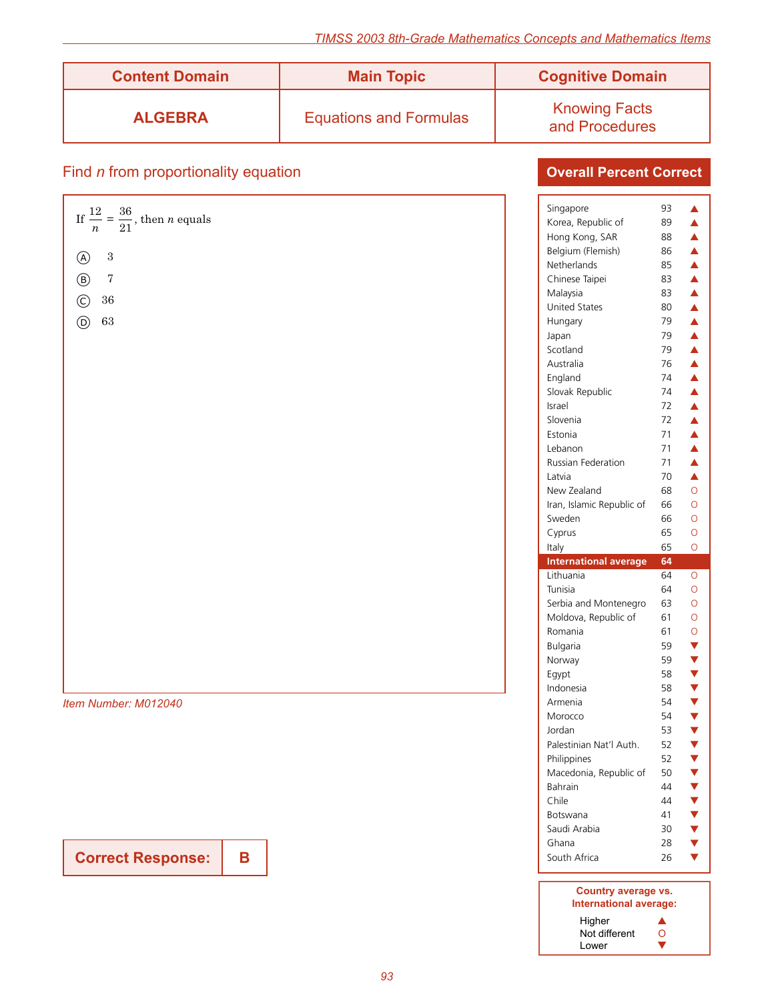**Overall Percent Correct**

| <b>Content Domain</b> | <b>Main Topic</b>             | <b>Cognitive Domain</b>                |
|-----------------------|-------------------------------|----------------------------------------|
| <b>ALGEBRA</b>        | <b>Equations and Formulas</b> | <b>Knowing Facts</b><br>and Procedures |

# Find *n* from proportionality equation

|                                                          | Singapore   |                              | 93 | ▲                       |
|----------------------------------------------------------|-------------|------------------------------|----|-------------------------|
| If $\frac{12}{n} = \frac{36}{21}$ , then <i>n</i> equals |             | Korea, Republic of           | 89 | ▲                       |
|                                                          |             | Hong Kong, SAR               | 88 | ▲                       |
| $\,3$<br>A)                                              |             | Belgium (Flemish)            | 86 | ▲                       |
|                                                          | Netherlands |                              | 85 | ▲                       |
| $\,7$<br>$^{\circledR}$                                  |             | Chinese Taipei               | 83 | ▲                       |
| $36\,$                                                   | Malaysia    |                              | 83 | ▲                       |
| $\odot$                                                  |             | <b>United States</b>         | 80 | $\blacktriangle$        |
| $63\,$<br>$\circledcirc$                                 | Hungary     |                              | 79 | ▲                       |
|                                                          | Japan       |                              | 79 | ▲                       |
|                                                          | Scotland    |                              | 79 | $\blacktriangle$        |
|                                                          | Australia   |                              | 76 | $\blacktriangle$        |
|                                                          | England     |                              | 74 | ▲                       |
|                                                          |             | Slovak Republic              | 74 | $\blacktriangle$        |
|                                                          | Israel      |                              | 72 | ▲                       |
|                                                          | Slovenia    |                              | 72 | ▲                       |
|                                                          | Estonia     |                              | 71 | ▲                       |
|                                                          | Lebanon     |                              | 71 | $\blacktriangle$        |
|                                                          |             | Russian Federation           | 71 | $\blacktriangle$        |
|                                                          | Latvia      |                              | 70 | $\blacktriangle$        |
|                                                          |             | New Zealand                  | 68 | $\circ$                 |
|                                                          |             | Iran, Islamic Republic of    | 66 | $\circ$                 |
|                                                          | Sweden      |                              | 66 | $\circ$                 |
|                                                          | Cyprus      |                              | 65 | $\circ$                 |
|                                                          | Italy       |                              | 65 | $\circ$                 |
|                                                          |             | <b>International average</b> | 64 |                         |
|                                                          | Lithuania   |                              | 64 | $\circ$                 |
|                                                          | Tunisia     |                              | 64 | $\circ$                 |
|                                                          |             | Serbia and Montenegro        | 63 | $\circ$                 |
|                                                          |             | Moldova, Republic of         | 61 | $\circ$                 |
|                                                          | Romania     |                              | 61 | $\circ$                 |
|                                                          | Bulgaria    |                              | 59 | $\blacktriangledown$    |
|                                                          | Norway      |                              | 59 | $\blacktriangledown$    |
|                                                          | Egypt       |                              | 58 | $\blacktriangledown$    |
|                                                          | Indonesia   |                              | 58 | $\blacktriangledown$    |
| Item Number: M012040                                     | Armenia     |                              | 54 | $\blacktriangledown$    |
|                                                          | Morocco     |                              | 54 | $\blacktriangledown$    |
|                                                          | Jordan      |                              | 53 | $\blacktriangledown$    |
|                                                          |             | Palestinian Nat'l Auth.      | 52 | $\blacktriangledown$    |
|                                                          | Philippines |                              | 52 | $\blacktriangledown$    |
|                                                          |             | Macedonia, Republic of       | 50 | $\blacktriangledown$    |
|                                                          | Bahrain     |                              | 44 | $\blacktriangledown$    |
|                                                          | Chile       |                              | 44 | $\overline{\mathbf{v}}$ |
|                                                          |             |                              |    |                         |

**Correct Response:**

**B**

### **Country average vs. International average:** Higher **A**<br>Not different O Not different  $\qquad \qquad \bullet$ <br>Lower  $\qquad \qquad \bullet$

Botswana  $41 \quad \blacktriangledown$ Saudi Arabia 30 <del>√</del> Ghana 28  $\blacktriangledown$ <br>South Africa 26  $\blacktriangledown$ South Africa 26

Lower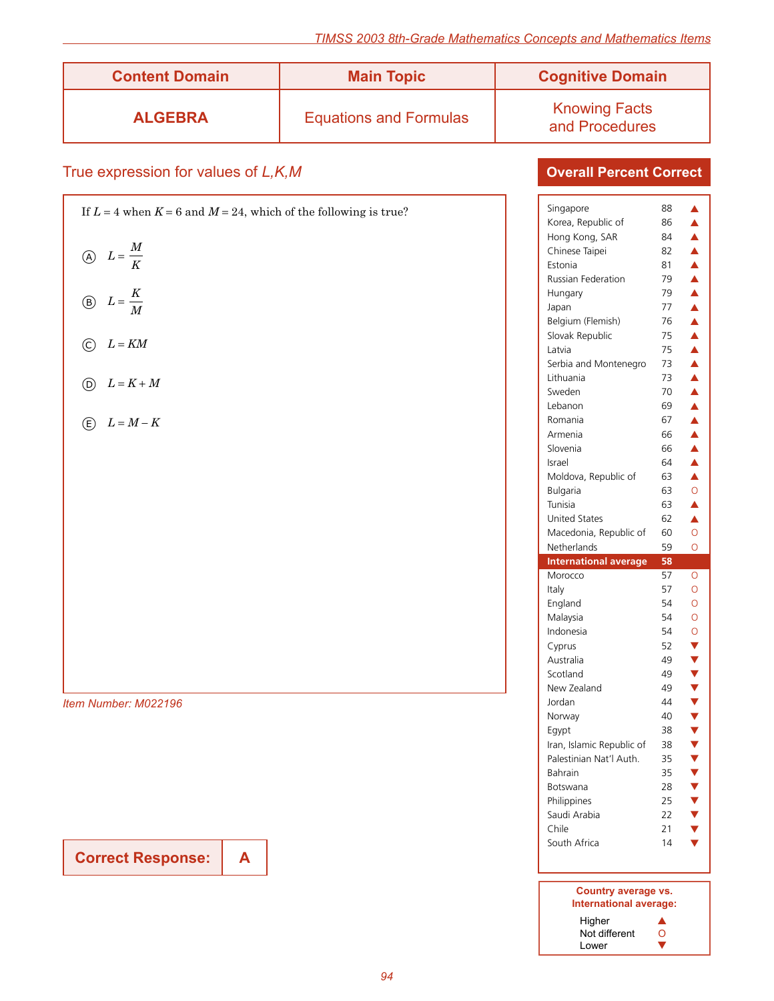| <b>Content Domain</b> | <b>Main Topic</b>             | <b>Cognitive Domain</b>                |
|-----------------------|-------------------------------|----------------------------------------|
| <b>ALGEBRA</b>        | <b>Equations and Formulas</b> | <b>Knowing Facts</b><br>and Procedures |

# True expression for values of *L,K,M*

| If $L = 4$ when $K = 6$ and $M = 24$ , which of the following is true? |
|------------------------------------------------------------------------|
| $\textcircled{A}\quad L=\frac{M}{K}$                                   |
| (B) $L = \frac{K}{M}$                                                  |
| $L$ = $K\!M$<br>$\odot$                                                |
| $\odot$ $L = K + M$                                                    |
| $E \nightharpoonup L = M - K$                                          |
|                                                                        |
|                                                                        |
|                                                                        |
|                                                                        |
|                                                                        |
|                                                                        |
| Item Number: M022196                                                   |

**Correct Response: A**

| Singapore                                           | 88 | ▲                          |
|-----------------------------------------------------|----|----------------------------|
| Korea, Republic of                                  | 86 | $\blacktriangle$           |
| Hong Kong, SAR                                      | 84 | $\blacktriangle$           |
| Chinese Taipei                                      | 82 | $\blacktriangle$           |
| Estonia                                             | 81 | $\blacktriangle$           |
| <b>Russian Federation</b>                           | 79 | $\blacktriangle$           |
| Hungary                                             | 79 | $\blacktriangle$           |
| Japan                                               | 77 | $\blacktriangle$           |
| Belgium (Flemish)                                   | 76 | $\blacktriangle$           |
| Slovak Republic                                     | 75 | $\blacktriangle$           |
| Latvia                                              | 75 | $\blacktriangle$           |
| Serbia and Montenegro                               | 73 | $\blacktriangle$           |
| Lithuania                                           | 73 | $\blacktriangle$           |
| Sweden                                              | 70 | $\blacktriangle$           |
| Lebanon                                             | 69 |                            |
| Romania                                             | 67 | $\frac{1}{4}$              |
| Armenia                                             | 66 | $\blacktriangle$           |
| Slovenia                                            | 66 | $\blacktriangle$           |
| Israel                                              | 64 | $\blacktriangle$           |
| Moldova, Republic of                                | 63 | $\blacktriangle$           |
| Bulgaria                                            | 63 | $\overline{O}$             |
| Tunisia                                             | 63 | Â                          |
| <b>United States</b>                                | 62 | $\blacktriangle$           |
| Macedonia, Republic of                              | 60 | O                          |
| Netherlands                                         |    |                            |
|                                                     | 59 | Ō                          |
| <b>International average</b>                        | 58 |                            |
| Morocco                                             | 57 | O                          |
| Italy                                               | 57 | Ō                          |
| England                                             | 54 | Ō                          |
| Malaysia                                            | 54 | Ō                          |
| Indonesia                                           | 54 | O                          |
| Cyprus                                              | 52 | V                          |
| Australia                                           | 49 |                            |
| Scotland                                            | 49 |                            |
| New Zealand                                         | 49 |                            |
| Jordan                                              | 44 |                            |
| Norway                                              | 40 |                            |
| Egypt                                               | 38 |                            |
|                                                     | 38 | <b><br/> ▼ ▼ ▼ ▼ ▼ ▼ ▼</b> |
| Iran, Islamic Republic of<br>Palestinian Nat'l Auth | 35 | v                          |
| Bahrain                                             | 35 |                            |
| Botswana                                            | 28 |                            |
| Philippines                                         | 25 |                            |
|                                                     | 22 |                            |
| Saudi Arabia<br>Chile                               | 21 | V<br>V<br>V                |
| South Africa                                        | 14 |                            |
|                                                     |    |                            |
|                                                     |    |                            |

| Country average vs.<br>International average: |   |
|-----------------------------------------------|---|
| Higher                                        |   |
| Not different                                 | 0 |
| Lower                                         |   |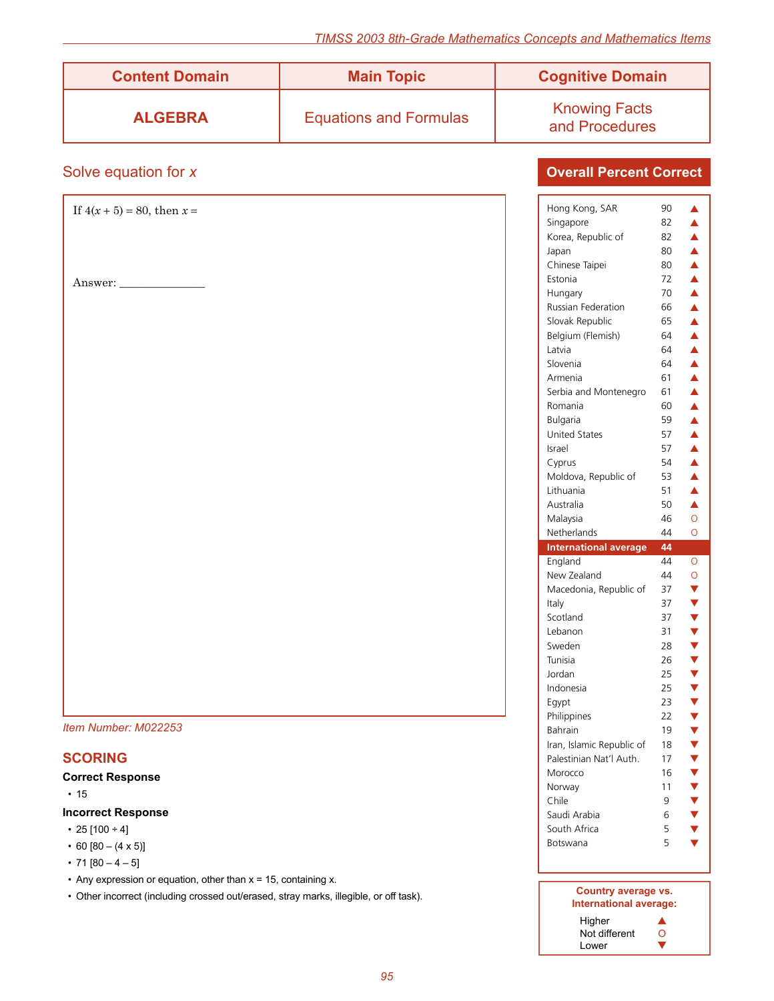| <b>Content Domain</b> | <b>Main Topic</b>             | <b>Cognitive Domain</b>                |
|-----------------------|-------------------------------|----------------------------------------|
| <b>ALGEBRA</b>        | <b>Equations and Formulas</b> | <b>Knowing Facts</b><br>and Procedures |

### Solve equation for *x*

### **Overall Percent Correct**

#### **Incorrect Response**

- 25  $[100 + 4]$
- 60  $[80 (4 \times 5)]$
- 71  $[80 4 5]$
- Any expression or equation, other than  $x = 15$ , containing x.
- Other incorrect (including crossed out/erased, stray marks, illegible, or off task).

| Country average vs.<br>International average: |  |
|-----------------------------------------------|--|
| Higher                                        |  |
| Not different                                 |  |

South Africa 5 ▼ Botswana  $5 \sqrt{ }$ 

Lower  $\sqrt{ }$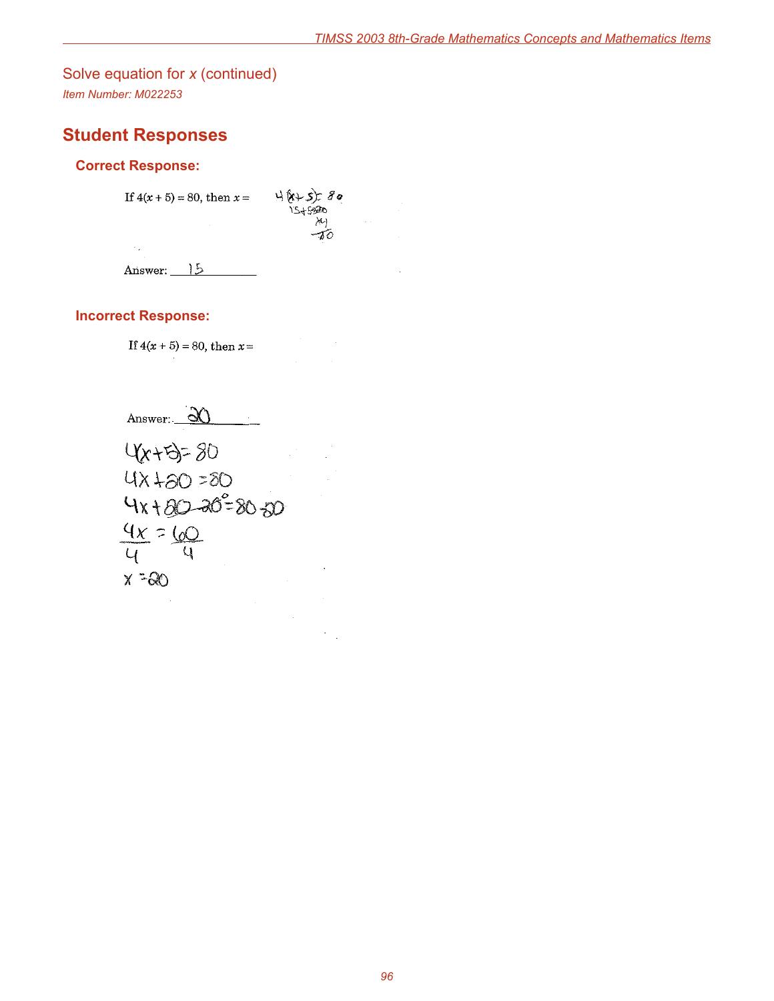# Solve equation for *x* (continued)

*Item Number: M022253*

# **Student Responses**

### **Correct Response:**

 $4(1+5)=80$ If  $4(x+5) = 80$ , then  $x =$  $\mathcal{X}$  $-\!\v{\delta}$  $\mathcal{A}_\infty$ 

Answer:  $15$ 

### **Incorrect Response:**

If  $4(x + 5) = 80$ , then  $x =$ 

Answer:  $\partial$   $\partial$ 

4x+5=80  $420 = 80$  $4x + 80 - 20^2 = 80 - 50$  $4x = 60$  $\mathsf{Q}$  $\mathcal{U}$  $X = 80$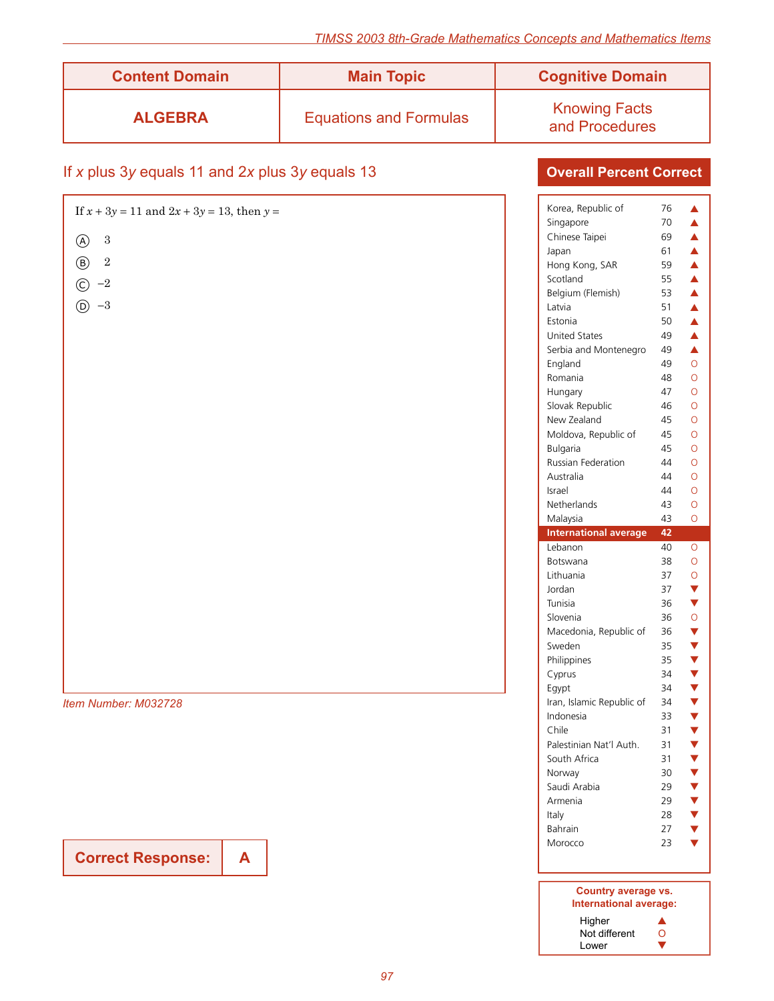| <b>Content Domain</b> | <b>Main Topic</b>             | <b>Cognitive Domain</b>                |
|-----------------------|-------------------------------|----------------------------------------|
| <b>ALGEBRA</b>        | <b>Equations and Formulas</b> | <b>Knowing Facts</b><br>and Procedures |

## If *x* plus 3*y* equals 11 and 2*x* plus 3*y* equals 13

| If $x + 3y = 11$ and $2x + 3y = 13$ , then $y =$ | Korea, Republic of           | 76 | ▲                                                                                                                                                                                                                    |
|--------------------------------------------------|------------------------------|----|----------------------------------------------------------------------------------------------------------------------------------------------------------------------------------------------------------------------|
|                                                  | Singapore                    | 70 | ▲                                                                                                                                                                                                                    |
| $\sqrt{3}$<br>$^{\circledR}$                     | Chinese Taipei               | 69 | $\blacktriangle$                                                                                                                                                                                                     |
|                                                  | Japan                        | 61 | $\blacktriangle$                                                                                                                                                                                                     |
| $\sqrt{2}$<br>$\circledR$                        | Hong Kong, SAR               | 59 | ▲                                                                                                                                                                                                                    |
| $\odot -2$                                       | Scotland                     | 55 | ▲                                                                                                                                                                                                                    |
|                                                  | Belgium (Flemish)            | 53 | ▲                                                                                                                                                                                                                    |
| $-3$<br>$\circledR$                              | Latvia                       | 51 | $\blacktriangle$                                                                                                                                                                                                     |
|                                                  | Estonia                      | 50 | ▲                                                                                                                                                                                                                    |
|                                                  | United States                | 49 | ▲                                                                                                                                                                                                                    |
|                                                  | Serbia and Montenegro        | 49 | $\blacktriangle$                                                                                                                                                                                                     |
|                                                  | England                      | 49 | $\circ$                                                                                                                                                                                                              |
|                                                  | Romania                      | 48 | $\circ$                                                                                                                                                                                                              |
|                                                  | Hungary                      | 47 | $\circ$                                                                                                                                                                                                              |
|                                                  | Slovak Republic              | 46 | $\circ$                                                                                                                                                                                                              |
|                                                  | New Zealand                  | 45 | $\circ$                                                                                                                                                                                                              |
|                                                  | Moldova, Republic of         | 45 | $\circ$                                                                                                                                                                                                              |
|                                                  | Bulgaria                     | 45 | $\circ$                                                                                                                                                                                                              |
|                                                  | Russian Federation           | 44 | $\circ$                                                                                                                                                                                                              |
|                                                  | Australia                    | 44 | $\circ$                                                                                                                                                                                                              |
|                                                  | Israel                       | 44 | $\circ$                                                                                                                                                                                                              |
|                                                  | Netherlands                  | 43 | $\circ$                                                                                                                                                                                                              |
|                                                  | Malaysia                     | 43 | $\circ$                                                                                                                                                                                                              |
|                                                  |                              |    |                                                                                                                                                                                                                      |
|                                                  | <b>International average</b> | 42 |                                                                                                                                                                                                                      |
|                                                  | Lebanon                      | 40 | $\circ$                                                                                                                                                                                                              |
|                                                  | Botswana                     | 38 | $\circ$                                                                                                                                                                                                              |
|                                                  | Lithuania                    | 37 | $\circ$                                                                                                                                                                                                              |
|                                                  | Jordan                       | 37 | $\blacktriangledown$                                                                                                                                                                                                 |
|                                                  | Tunisia                      | 36 | $\blacktriangledown$                                                                                                                                                                                                 |
|                                                  | Slovenia                     | 36 |                                                                                                                                                                                                                      |
|                                                  | Macedonia, Republic of       | 36 |                                                                                                                                                                                                                      |
|                                                  | Sweden                       | 35 | $\circ$<br>$\blacktriangledown$<br>$\blacktriangledown$                                                                                                                                                              |
|                                                  | Philippines                  | 35 |                                                                                                                                                                                                                      |
|                                                  | Cyprus                       | 34 |                                                                                                                                                                                                                      |
|                                                  | Eqypt                        | 34 |                                                                                                                                                                                                                      |
| Item Number: M032728                             | Iran, Islamic Republic of    | 34 |                                                                                                                                                                                                                      |
|                                                  | Indonesia                    | 33 |                                                                                                                                                                                                                      |
|                                                  | Chile                        | 31 |                                                                                                                                                                                                                      |
|                                                  | Palestinian Nat'l Auth.      | 31 |                                                                                                                                                                                                                      |
|                                                  | South Africa                 | 31 |                                                                                                                                                                                                                      |
|                                                  | Norway                       | 30 | $\blacktriangledown$<br>$\blacktriangledown$<br>$\blacktriangledown$<br>$\blacktriangledown$<br>$\blacktriangledown$<br>$\blacktriangledown$<br>$\blacktriangledown$<br>$\blacktriangledown$<br>$\blacktriangledown$ |
|                                                  | Saudi Arabia                 | 29 |                                                                                                                                                                                                                      |
|                                                  | Armenia                      | 29 | $\blacktriangledown$<br>$\blacktriangledown$                                                                                                                                                                         |
|                                                  | Italy                        | 28 |                                                                                                                                                                                                                      |
|                                                  | Bahrain                      | 27 | $\blacktriangledown$<br>$\blacktriangledown$                                                                                                                                                                         |

## **Overall Percent Correct**

**Correct Response: A**

| Country average vs.<br>International average: |   |
|-----------------------------------------------|---|
| Higher                                        |   |
| Not different                                 | 0 |
| Lower                                         |   |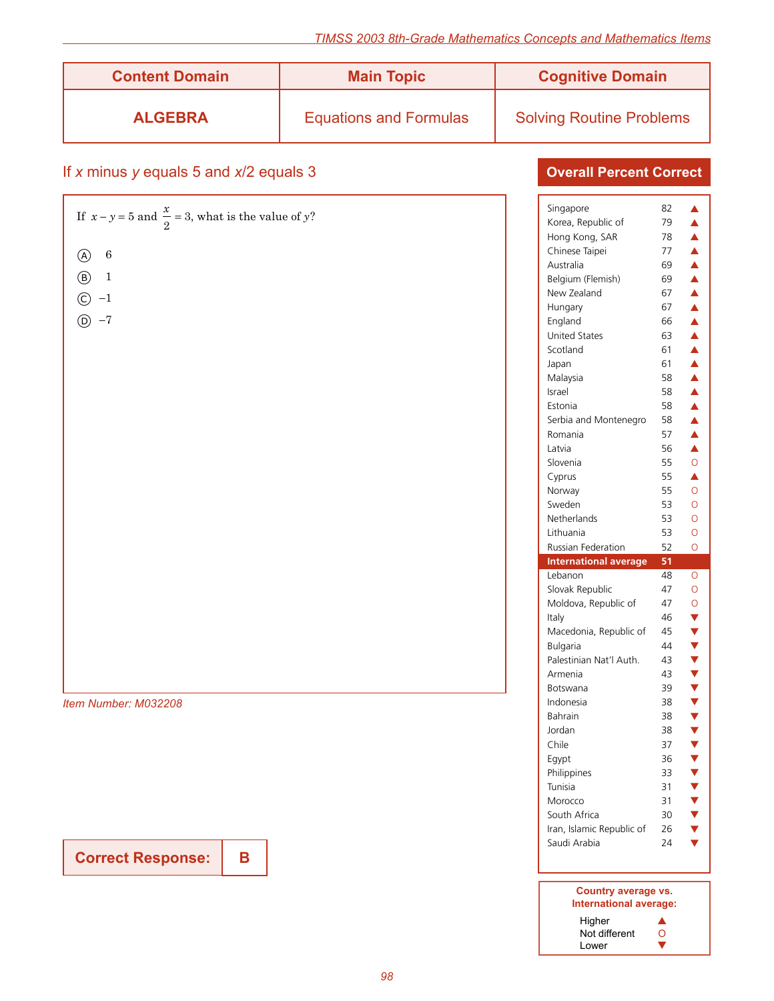**Overall Percent Correct**

| <b>Content Domain</b> | <b>Main Topic</b>             | <b>Cognitive Domain</b>         |
|-----------------------|-------------------------------|---------------------------------|
| <b>ALGEBRA</b>        | <b>Equations and Formulas</b> | <b>Solving Routine Problems</b> |

### If *x* minus *y* equals 5 and *x*/2 equals 3

|                                                                | Singapore                    | 82 |                      |
|----------------------------------------------------------------|------------------------------|----|----------------------|
| If $x - y = 5$ and $\frac{x}{2} = 3$ , what is the value of y? | Korea, Republic of           | 79 | ▲                    |
|                                                                | Hong Kong, SAR               | 78 | $\blacktriangle$     |
| $\,6\,$<br>$\circledA$                                         | Chinese Taipei               | 77 | $\blacktriangle$     |
|                                                                | Australia                    | 69 | ▲                    |
| $\circled{B}$<br>$1\,$                                         | Belgium (Flemish)            | 69 | $\blacktriangle$     |
| $-1$                                                           | New Zealand                  | 67 | ▲                    |
| $\odot$                                                        | Hungary                      | 67 | ▲                    |
| $-7$<br>$\circledR$                                            | England                      | 66 | $\blacktriangle$     |
|                                                                | <b>United States</b>         | 63 | ▲                    |
|                                                                | Scotland                     | 61 | ▲                    |
|                                                                | Japan                        | 61 | $\blacktriangle$     |
|                                                                | Malaysia                     | 58 | ▲                    |
|                                                                | Israel                       | 58 | ▲                    |
|                                                                | Estonia                      | 58 | $\blacktriangle$     |
|                                                                | Serbia and Montenegro        | 58 | $\blacktriangle$     |
|                                                                | Romania                      | 57 | ▲                    |
|                                                                | Latvia                       | 56 | $\blacktriangle$     |
|                                                                | Slovenia                     | 55 | $\circ$              |
|                                                                | Cyprus                       | 55 | ▲                    |
|                                                                | Norway                       | 55 | $\circ$              |
|                                                                | Sweden                       | 53 | $\circ$              |
|                                                                | Netherlands                  | 53 | $\circ$              |
|                                                                | Lithuania                    | 53 | $\circ$              |
|                                                                |                              |    |                      |
|                                                                | Russian Federation           | 52 | $\circ$              |
|                                                                | <b>International average</b> | 51 |                      |
|                                                                | Lebanon                      | 48 | $\circ$              |
|                                                                | Slovak Republic              | 47 | $\circ$              |
|                                                                | Moldova, Republic of         | 47 | $\circ$              |
|                                                                | Italy                        | 46 | $\blacktriangledown$ |
|                                                                | Macedonia, Republic of       | 45 | $\blacktriangledown$ |
|                                                                | <b>Bulgaria</b>              | 44 | $\blacktriangledown$ |
|                                                                | Palestinian Nat'l Auth.      | 43 | $\blacktriangledown$ |
|                                                                | Armenia                      | 43 | $\blacktriangledown$ |
|                                                                | Botswana                     | 39 | $\blacktriangledown$ |
| Item Number: M032208                                           | Indonesia                    | 38 | $\blacktriangledown$ |
|                                                                | Bahrain                      | 38 | $\blacktriangledown$ |
|                                                                | Jordan                       | 38 | $\blacktriangledown$ |
|                                                                | Chile                        | 37 | $\blacktriangledown$ |
|                                                                | Egypt                        | 36 | $\blacktriangledown$ |
|                                                                | Philippines                  | 33 | v                    |
|                                                                | Tunisia                      | 31 | $\blacktriangledown$ |
|                                                                | Morocco                      | 31 | $\blacktriangledown$ |
|                                                                | South Africa                 | 30 | $\blacktriangledown$ |
|                                                                | Iran, Islamic Republic of    | 26 | $\blacktriangledown$ |
| <b>Correct Response:</b><br>B                                  | Saudi Arabia                 | 24 | $\blacktriangledown$ |

### **Country average vs. International average:** Higher  $\blacktriangle$

| Higher        |  |
|---------------|--|
| Not different |  |
| Lower         |  |

**Correct Response:**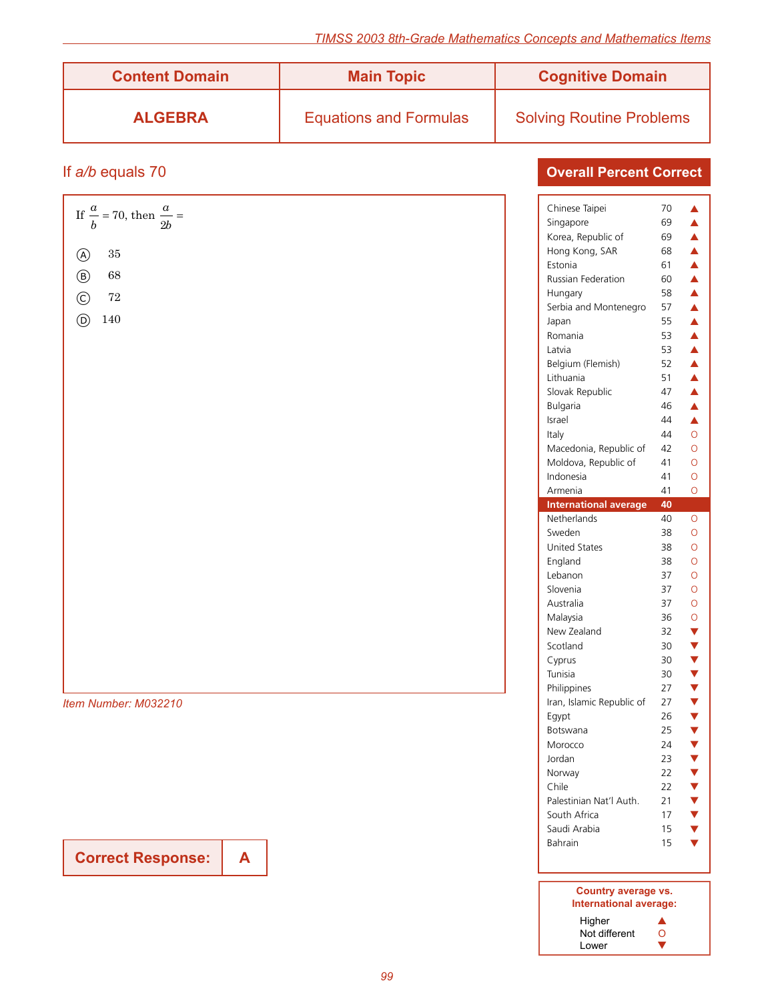| <b>Content Domain</b> | <b>Main Topic</b>             | <b>Cognitive Domain</b>         |
|-----------------------|-------------------------------|---------------------------------|
| <b>ALGEBRA</b>        | <b>Equations and Formulas</b> | <b>Solving Routine Problems</b> |

### If *a/b* equals 70

| Chinese Taipei<br>70<br>If $\frac{a}{b}$ = 70, then $\frac{a}{2b}$ =<br>Singapore<br>69<br>Korea, Republic of<br>69<br>Hong Kong, SAR<br>68<br>$35\,$<br>$\circledA$<br>Estonia<br>61<br>68<br>$\circledB$ |                                              |
|------------------------------------------------------------------------------------------------------------------------------------------------------------------------------------------------------------|----------------------------------------------|
|                                                                                                                                                                                                            | ▲<br>▲                                       |
|                                                                                                                                                                                                            | ▲                                            |
|                                                                                                                                                                                                            | ▲                                            |
|                                                                                                                                                                                                            | ▲                                            |
| Russian Federation<br>60                                                                                                                                                                                   | ▲                                            |
| 58<br>Hungary                                                                                                                                                                                              | ▲                                            |
| $\sqrt{72}$<br>$\circled{c}$<br>57<br>Serbia and Montenegro                                                                                                                                                | $\blacktriangle$                             |
| 140<br>$\circled{D}$<br>55<br>Japan                                                                                                                                                                        | ▲                                            |
| Romania<br>53                                                                                                                                                                                              | $\blacktriangle$                             |
| Latvia<br>53                                                                                                                                                                                               | $\blacktriangle$                             |
| Belgium (Flemish)<br>52                                                                                                                                                                                    | ▲                                            |
| Lithuania<br>51                                                                                                                                                                                            | $\blacktriangle$                             |
| Slovak Republic<br>47                                                                                                                                                                                      | ▲                                            |
| Bulgaria<br>46                                                                                                                                                                                             | $\blacktriangle$                             |
| Israel<br>44                                                                                                                                                                                               | $\blacktriangle$                             |
| Italy<br>44                                                                                                                                                                                                | $\circ$                                      |
| Macedonia, Republic of<br>42                                                                                                                                                                               | $\circ$                                      |
| Moldova, Republic of<br>41                                                                                                                                                                                 | $\circ$                                      |
| Indonesia<br>41                                                                                                                                                                                            | $\circ$                                      |
| 41<br>Armenia                                                                                                                                                                                              | $\circ$                                      |
| <b>International average</b><br>40                                                                                                                                                                         |                                              |
| Netherlands<br>40                                                                                                                                                                                          | $\circ$                                      |
| Sweden<br>38                                                                                                                                                                                               | $\circ$                                      |
| United States<br>38                                                                                                                                                                                        | $\circ$                                      |
| England<br>38                                                                                                                                                                                              | $\circ$                                      |
| Lebanon<br>37                                                                                                                                                                                              | $\circ$                                      |
| Slovenia<br>37                                                                                                                                                                                             | $\circ$                                      |
| Australia<br>37                                                                                                                                                                                            | $\circ$                                      |
| Malaysia<br>36                                                                                                                                                                                             | $\circ$                                      |
| New Zealand<br>32                                                                                                                                                                                          | $\blacktriangledown$                         |
| Scotland<br>30                                                                                                                                                                                             | $\blacktriangledown$                         |
| Cyprus<br>30                                                                                                                                                                                               | $\blacktriangledown$                         |
| Tunisia<br>30                                                                                                                                                                                              | $\blacktriangledown$                         |
| Philippines<br>27                                                                                                                                                                                          | $\blacktriangledown$                         |
|                                                                                                                                                                                                            | $\blacktriangledown$                         |
|                                                                                                                                                                                                            | $\blacktriangledown$                         |
| Iran, Islamic Republic of<br>27<br>Item Number: M032210                                                                                                                                                    | $\blacktriangledown$                         |
| Egypt<br>26                                                                                                                                                                                                | $\blacktriangledown$                         |
| 25<br>Botswana                                                                                                                                                                                             |                                              |
| Morocco<br>24                                                                                                                                                                                              |                                              |
| Jordan<br>23                                                                                                                                                                                               | $\blacktriangledown$                         |
| 22<br>Norway<br>Chile                                                                                                                                                                                      | $\blacktriangledown$                         |
| 22                                                                                                                                                                                                         | $\blacktriangledown$                         |
| Palestinian Nat'l Auth.<br>21<br>South Africa<br>17                                                                                                                                                        | $\blacktriangledown$                         |
| Saudi Arabia<br>15                                                                                                                                                                                         | $\blacktriangledown$<br>$\blacktriangledown$ |

#### **Country average vs. International average:** Higher  $\blacktriangle$ Not different O Lower  $\blacksquare$

**Correct Response: A**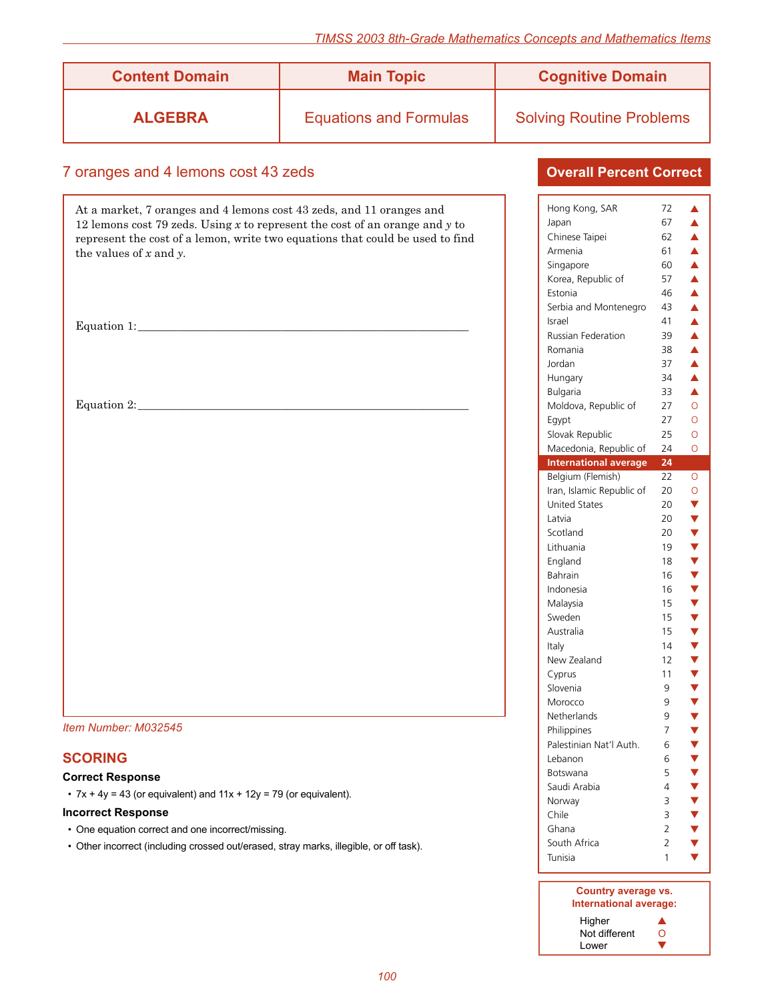| <b>Content Domain</b> | <b>Main Topic</b>             | <b>Cognitive Domain</b>         |
|-----------------------|-------------------------------|---------------------------------|
| <b>ALGEBRA</b>        | <b>Equations and Formulas</b> | <b>Solving Routine Problems</b> |

### 7 oranges and 4 lemons cost 43 zeds

At a market, 7 oranges and 4 lemons cost 43 zeds, and 11 oranges and 12 lemons cost 79 zeds. Using *x* to represent the cost of an orange and *y* to represent the cost of a lemon, write two equations that could be used to find the values of *x* and *y.*

Equation 1: \_\_\_\_\_\_\_\_\_\_\_\_\_\_\_\_\_\_\_\_\_\_\_\_\_\_\_\_\_\_\_\_\_\_\_\_\_\_\_\_\_\_\_\_\_\_\_\_\_\_\_\_\_\_\_\_\_\_

Equation 2: \_\_\_\_\_\_\_\_\_\_\_\_\_\_\_\_\_\_\_\_\_\_\_\_\_\_\_\_\_\_\_\_\_\_\_\_\_\_\_\_\_\_\_\_\_\_\_\_\_\_\_\_\_\_\_\_\_\_

*Item Number: M032545*

### **SCORING**

#### **Correct Response**

•  $7x + 4y = 43$  (or equivalent) and  $11x + 12y = 79$  (or equivalent).

#### **Incorrect Response**

- One equation correct and one incorrect/missing.
- Other incorrect (including crossed out/erased, stray marks, illegible, or off task).

| Hong Kong, SAR               | 72                  | ▲                         |
|------------------------------|---------------------|---------------------------|
| Japan                        | 67                  | $\blacktriangle$          |
|                              | 62                  | $\blacktriangle$          |
| Chinese Taipei               |                     |                           |
| Armenia                      | 61                  | $\blacktriangle$          |
| Singapore                    | 60                  | $\blacktriangle$          |
| Korea, Republic of           | 57                  | $\blacktriangle$          |
| Estonia                      | 46                  | $\blacktriangle$          |
| Serbia and Montenegro        | 43                  | $\blacktriangle$          |
| Israel                       | 41                  | $\blacktriangle$          |
| <b>Russian Federation</b>    | 39                  | $\blacktriangle$          |
| Romania                      | 38                  | $\blacktriangle$          |
| Jordan                       | 37                  | $\blacktriangle$          |
|                              | 34                  | $\blacktriangle$          |
| Hungary                      |                     |                           |
| Bulgaria                     | 33                  | $\blacktriangle$          |
| Moldova, Republic of         | 27                  | $\overline{O}$            |
| Egypt                        | 27                  | $\overline{O}$            |
| Slovak Republic              | 25                  | $\overline{O}$            |
| Macedonia, Republic of       | 24                  | $\overline{O}$            |
| <b>International average</b> | $\overline{24}$     |                           |
| Belgium (Flemish)            | 22                  | O                         |
| Iran, Islamic Republic of    | 20                  | $\circ$                   |
| <b>United States</b>         | 20                  |                           |
| Latvia                       | 20                  |                           |
|                              |                     |                           |
| Scotland                     | 20                  |                           |
| Lithuania                    | 19                  |                           |
| England                      | 18                  |                           |
| <b>Bahrain</b>               | 16                  |                           |
| Indonesia                    | 16                  |                           |
| Malaysia                     | 15                  |                           |
|                              | 15                  |                           |
| Sweden                       |                     |                           |
| Australia                    | 15                  |                           |
|                              | 14                  |                           |
| Italy                        |                     |                           |
| New Zealand                  | 12                  |                           |
| Cyprus                       | 11                  |                           |
| Slovenia                     | 9                   |                           |
| Morocco                      | 9                   |                           |
| Netherlands                  | 9                   |                           |
| Philippines                  | 7                   |                           |
| Palestinian Nat'l Auth.      | 6                   | <b>▼▼▼▼▼▼▼▼▼▼▼▼▼▼▼▼▼▼</b> |
| Lebanon                      | 6                   |                           |
| Botswana                     | 5                   |                           |
| Saudi Arabia                 | 4                   |                           |
| Norway                       | 3                   |                           |
| Chile                        | 3                   |                           |
|                              |                     |                           |
| Ghana                        | $\overline{2}$      |                           |
| South Africa<br>Tunisia      | $\overline{2}$<br>1 | <b>AAAAAA</b>             |

| Country average vs.<br>International average: |   |
|-----------------------------------------------|---|
| Higher                                        |   |
| Not different                                 | 0 |
| Lower                                         |   |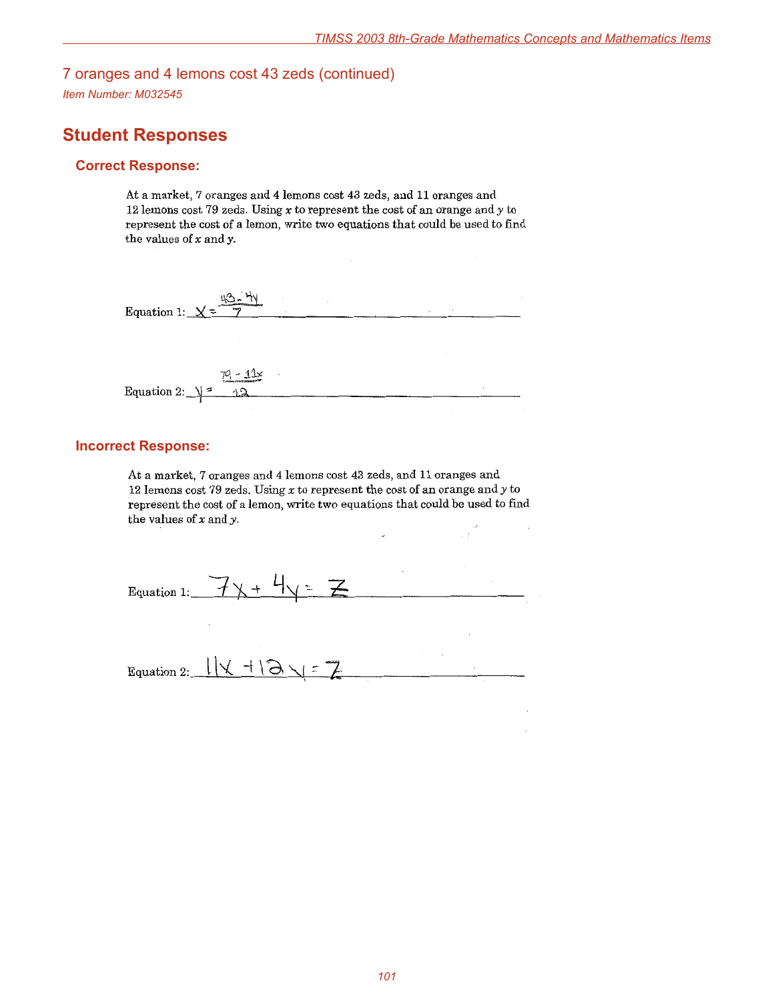# 7 oranges and 4 lemons cost 43 zeds (continued)

*Item Number: M032545*

# **Student Responses**

#### **Correct Response:**

At a market, 7 oranges and 4 lemons cost 43 zeds, and 11 oranges and 12 lemons cost 79 zeds. Using  $x$  to represent the cost of an orange and  $y$  to represent the cost of a lemon, write two equations that could be used to find the values of  $x$  and  $y$ .

| Equation 1: $\angle \leq$<br>$-1$ | $\sim$ |  |
|-----------------------------------|--------|--|
|                                   |        |  |
|                                   |        |  |
| $79 - 11x$                        |        |  |
| Equation 2: $\sqrt{2}$<br>1.2     |        |  |

#### **Incorrect Response:**

At a market, 7 oranges and 4 lemons cost 43 zeds, and 11 oranges and 12 lemons cost 79 zeds. Using  $x$  to represent the cost of an orange and  $y$  to represent the cost of a lemon, write two equations that could be used to find the values of  $x$  and  $y$ .

| Equation 1:_ | $\overline{\mathbf{z}}$<br>$\overline{\phantom{a}}$ |  |
|--------------|-----------------------------------------------------|--|
| Equation 2:  | $112 + 131 = 7$                                     |  |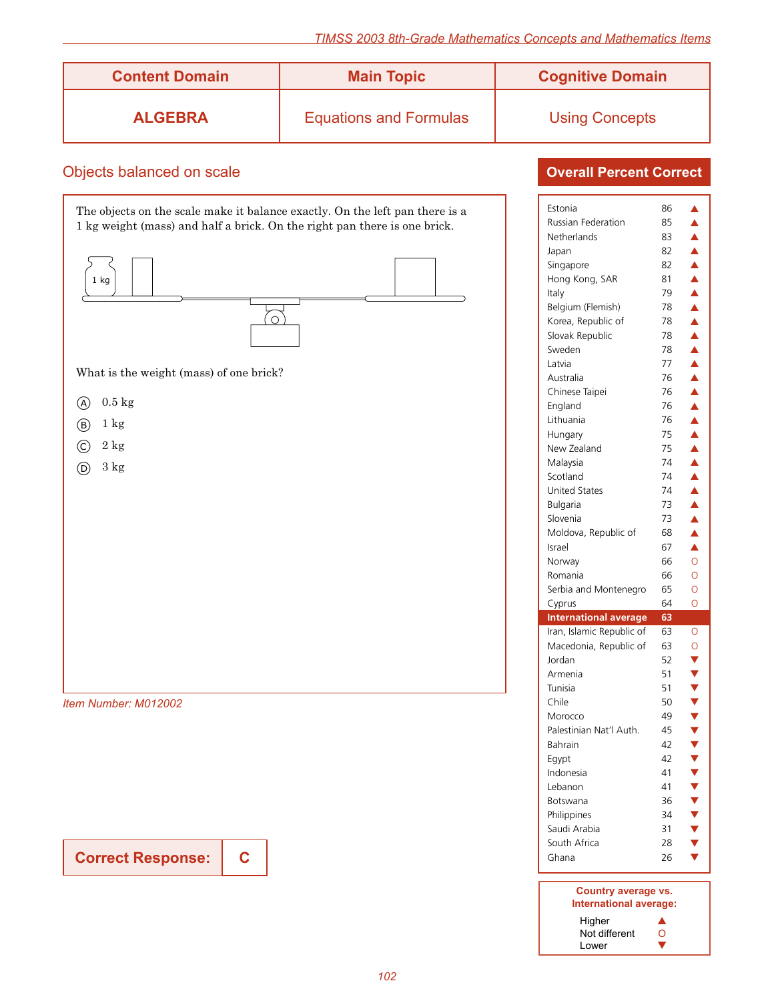| <b>Content Domain</b> | <b>Main Topic</b>             | <b>Cognitive Domain</b> |
|-----------------------|-------------------------------|-------------------------|
| <b>ALGEBRA</b>        | <b>Equations and Formulas</b> | <b>Using Concepts</b>   |

### Objects balanced on scale

The objects on the scale make it balance exactly. On the left pan there is a 1 kg weight (mass) and half a brick. On the right pan there is one brick. 1 kg 6 What is the weight (mass) of one brick?  $(A)$  0.5 kg  $\circled{b}$  1 kg  $\bigcirc$  2 kg  $(D)$  3 kg

*Item Number: M012002*

**Correct Response:**

**C**

| Estonia                      | 86              | ▲                |
|------------------------------|-----------------|------------------|
| <b>Russian Federation</b>    | 85              | $\blacktriangle$ |
| Netherlands                  | 83              | $\blacktriangle$ |
| Japan                        | 82              | $\blacktriangle$ |
| Singapore                    | 82              | $\blacktriangle$ |
| Hong Kong, SAR               | 81              | $\blacktriangle$ |
| Italy                        | 79              | $\blacktriangle$ |
| Belgium (Flemish)            | 78              | $\blacktriangle$ |
| Korea, Republic of           | 78              | $\blacktriangle$ |
| Slovak Republic              | 78              | $\blacktriangle$ |
| Sweden                       | 78              | $\blacktriangle$ |
| Latvia                       | 77              | $\blacktriangle$ |
| Australia                    | 76              | $\blacktriangle$ |
| Chinese Taipei               | 76              | $\blacktriangle$ |
| England                      | 76              | $\blacktriangle$ |
| Lithuania                    | 76              | $\blacktriangle$ |
| Hungary                      | 75              | $\blacktriangle$ |
| New Zealand                  | 75              | $\blacktriangle$ |
| Malaysia                     | 74              | $\blacktriangle$ |
| Scotland                     | 74              | $\blacktriangle$ |
| <b>United States</b>         | 74              | $\blacktriangle$ |
| Bulgaria                     | 73              | Á                |
| Slovenia                     | 73              | Á                |
| Moldova, Republic of         | 68              | Â                |
| Israel                       | 67              | ▲                |
| Norway                       | 66              | Ō                |
| Romania                      | 66              | Ō                |
| Serbia and Montenegro        | 65              | O                |
| Cyprus                       | 64              | Ō                |
| <b>International average</b> | $\overline{63}$ |                  |
| Iran, Islamic Republic of    | 63              | O                |
| Macedonia, Republic of       | 63              | $\circ$          |
| Jordan                       | 52              |                  |
| Armenia                      | 51              |                  |
| Tunisia                      | 51              |                  |
| Chile                        | 50              | <b>AAAAA</b>     |
| Morocco                      | 49              |                  |
| Palestinian Nat'l Auth.      | 45              |                  |
| <b>Bahrain</b>               | 42              |                  |
| Egypt                        | 42              |                  |
| Indonesia                    | 41              |                  |
| Lebanon                      | 41              |                  |
| Botswana                     | 36              | V<br>V<br>V<br>V |
| Philippines                  | 34              |                  |
| Saudi Arabia                 | 31              |                  |
| South Africa                 | 28              |                  |
| Ghana                        | 26              |                  |
|                              |                 |                  |
|                              |                 |                  |

| Country average vs.    |   |
|------------------------|---|
| International average: |   |
| Higher                 |   |
| Not different          | Ω |
| Lower                  |   |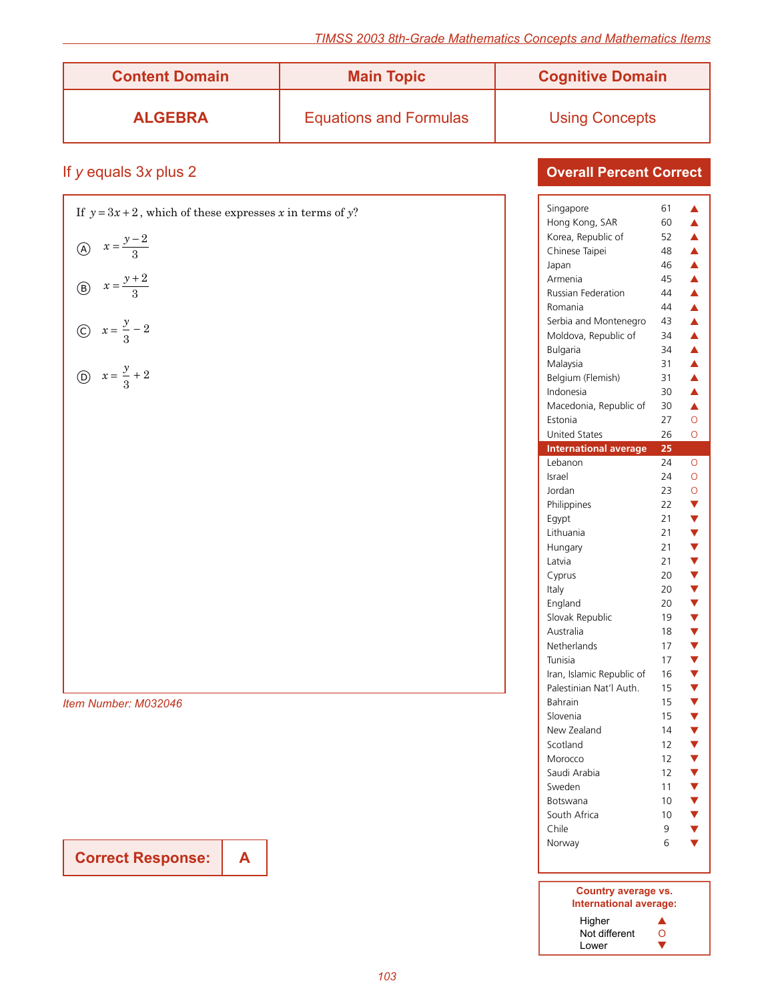| <b>Content Domain</b> | <b>Main Topic</b>             | <b>Cognitive Domain</b> |
|-----------------------|-------------------------------|-------------------------|
| <b>ALGEBRA</b>        | <b>Equations and Formulas</b> | <b>Using Concepts</b>   |

# If *y* equals 3*x* plus 2

| If $y = 3x + 2$ , which of these expresses x in terms of y? |
|-------------------------------------------------------------|
| (A) $x = \frac{y-2}{3}$                                     |
| (B) $x = \frac{y+2}{3}$                                     |
| (c) $x = \frac{y}{3} - 2$                                   |
| (b) $x = \frac{y}{3} + 2$                                   |
|                                                             |
|                                                             |
|                                                             |
|                                                             |
|                                                             |
|                                                             |
|                                                             |
|                                                             |
|                                                             |
| Item Number: M032046                                        |

**Correct Response: A**

### **Overall Percent Correct**

| Singapore                                     | 61 | ▲                       |
|-----------------------------------------------|----|-------------------------|
| Hong Kong, SAR                                | 60 | Â                       |
| Korea, Republic of                            | 52 | Δ                       |
| Chinese Taipei                                | 48 | $\blacktriangle$        |
| Japan                                         | 46 | $\blacktriangle$        |
| Armenia                                       | 45 | $\blacktriangle$        |
| <b>Russian Federation</b>                     | 44 | $\blacktriangle$        |
| Romania                                       | 44 | $\blacktriangle$        |
|                                               | 43 | $\blacktriangle$        |
| Serbia and Montenegro<br>Moldova, Republic of | 34 | $\blacktriangle$        |
|                                               | 34 |                         |
| <b>Bulgaria</b>                               |    | $\blacktriangle$        |
| Malaysia                                      | 31 | $\blacktriangle$        |
| Belgium (Flemish)                             | 31 | $\blacktriangle$        |
| Indonesia                                     | 30 | $\blacktriangle$        |
| Macedonia, Republic of                        | 30 | $\blacktriangle$        |
| Estonia                                       | 27 | O                       |
| <b>United States</b>                          | 26 | Ō                       |
| <b>International average</b>                  | 25 |                         |
| Lebanon                                       | 24 | O                       |
| Israel                                        | 24 | $\circ$                 |
| Jordan                                        | 23 | $\circ$                 |
| Philippines                                   | 22 | $\blacktriangledown$    |
| Egypt                                         | 21 | $\overline{\mathbf{v}}$ |
| Lithuania                                     | 21 |                         |
| Hungary                                       | 21 |                         |
| Latvia                                        | 21 |                         |
| Cyprus                                        | 20 |                         |
| Italy                                         | 20 |                         |
| England                                       | 20 |                         |
| Slovak Republic                               | 19 |                         |
| Australia                                     | 18 |                         |
| Netherlands                                   | 17 |                         |
| Tunisia                                       | 17 |                         |
| Iran, Islamic Republic of                     | 16 |                         |
| Palestinian Nat'l Auth.                       | 15 | <b>▼▼▼▼▼▼▼▼▼▼▼▼▼▼</b>   |
| Bahrain                                       | 15 |                         |
| Slovenia                                      | 15 |                         |
| New Zealand                                   | 14 |                         |
| Scotland                                      | 12 |                         |
| Morocco                                       | 12 |                         |
| Saudi Arabia                                  | 12 |                         |
| Sweden                                        | 11 |                         |
| Botswana                                      | 10 |                         |
| South Africa                                  | 10 |                         |
| Chile                                         | 9  | V<br>V<br>V<br>V        |
|                                               |    |                         |
|                                               |    |                         |
| Norway                                        | 6  |                         |

#### **Country average vs. International average:** Higher  $\blacktriangle$ Not different O Lower  $\blacksquare$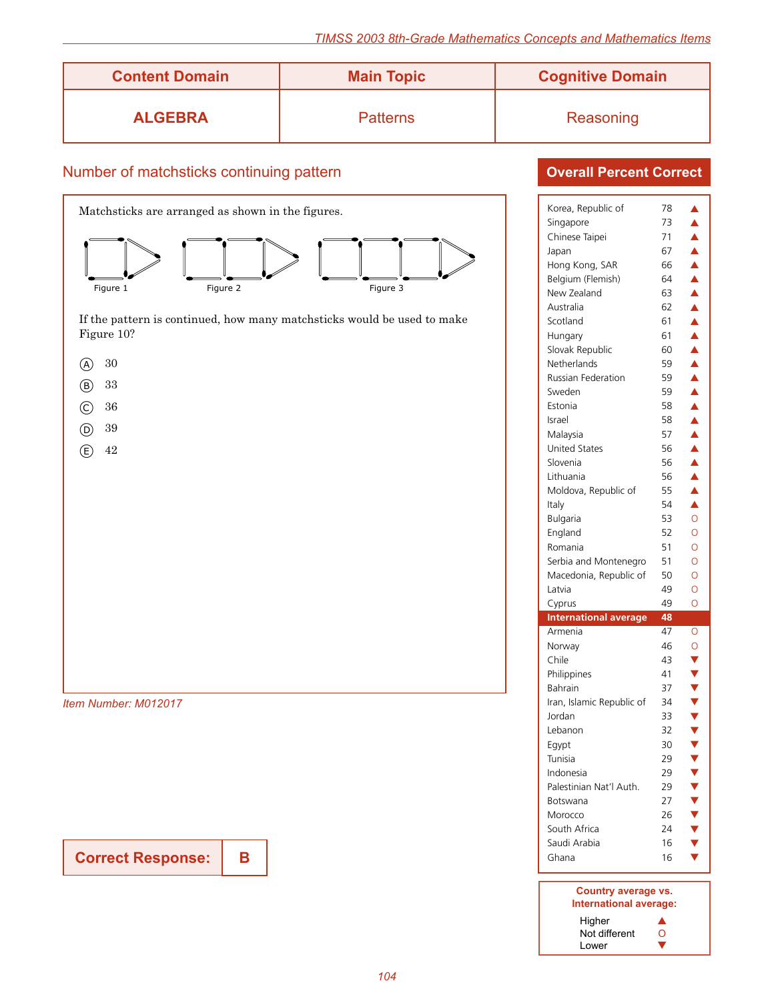| <b>Content Domain</b> | <b>Main Topic</b> | <b>Cognitive Domain</b> |
|-----------------------|-------------------|-------------------------|
| <b>ALGEBRA</b>        | <b>Patterns</b>   | Reasoning               |

### Number of matchsticks continuing pattern



If the pattern is continued, how many matchsticks would be used to make Figure 10?



- b <sup>33</sup>
- c <sup>36</sup>
- d <sup>39</sup>
- $\bigoplus$  42

*Item Number: M012017*

**Correct Response:**

**B**

| <b>Overall Percent Correct</b> |  |
|--------------------------------|--|
|                                |  |

| Korea, Republic of               | 78 | ▲                                    |
|----------------------------------|----|--------------------------------------|
| Singapore                        | 73 | ▲                                    |
| Chinese Taipei                   | 71 | $\blacktriangle$                     |
| Japan                            | 67 | $\blacktriangle$                     |
| Hong Kong, SAR                   | 66 | $\blacktriangle$                     |
| Belgium (Flemish)                | 64 | $\blacktriangle$                     |
| New Zealand                      | 63 | $\blacktriangle$                     |
| Australia                        | 62 | $\blacktriangle$                     |
| Scotland                         | 61 | $\blacktriangle$                     |
| Hungary                          | 61 | $\blacktriangle$                     |
| Slovak Republic                  | 60 | $\blacktriangle$                     |
| Netherlands                      | 59 | $\blacktriangle$                     |
| <b>Russian Federation</b>        | 59 | $\blacktriangle$                     |
| Sweden                           | 59 | $\blacktriangle$                     |
| Estonia                          | 58 | $\blacktriangle$                     |
| Israel                           | 58 | $\blacktriangle$                     |
|                                  | 57 |                                      |
| Malaysia<br><b>United States</b> | 56 | $\blacktriangle$<br>$\blacktriangle$ |
|                                  |    |                                      |
| Slovenia                         | 56 | $\blacktriangle$<br>$\blacktriangle$ |
| Lithuania                        | 56 |                                      |
| Moldova, Republic of             | 55 | $\blacktriangle$                     |
| Italy                            | 54 | $\blacktriangle$                     |
| Bulgaria                         | 53 | $\overline{O}$                       |
| England                          | 52 | Ō                                    |
| Romania                          | 51 | O                                    |
|                                  |    |                                      |
| Serbia and Montenegro            | 51 | Ō                                    |
| Macedonia, Republic of           | 50 | Ō                                    |
| Latvia                           | 49 | Ō                                    |
| Cyprus                           | 49 | O                                    |
| <b>International average</b>     | 48 |                                      |
| Armenia                          | 47 | $\circ$                              |
| Norway                           | 46 | $\overline{O}$                       |
| Chile                            | 43 |                                      |
| Philippines                      | 41 |                                      |
| <b>Bahrain</b>                   | 37 |                                      |
| Iran, Islamic Republic of        | 34 |                                      |
| Jordan                           | 33 |                                      |
| Lebanon                          | 32 |                                      |
| Egypt                            | 30 |                                      |
| Tunisia                          | 29 |                                      |
| Indonesia                        | 29 |                                      |
| Palestinian Nat'l Auth.          | 29 |                                      |
| Botswana                         | 27 |                                      |
| Morocco                          | 26 |                                      |
| South Africa                     | 24 |                                      |
| Saudi Arabia                     | 16 | $\frac{1}{2}$                        |
| Ghana                            | 16 |                                      |

| Country average vs.<br>International average: |   |
|-----------------------------------------------|---|
| Higher                                        |   |
| Not different                                 | Ω |
| Lower                                         |   |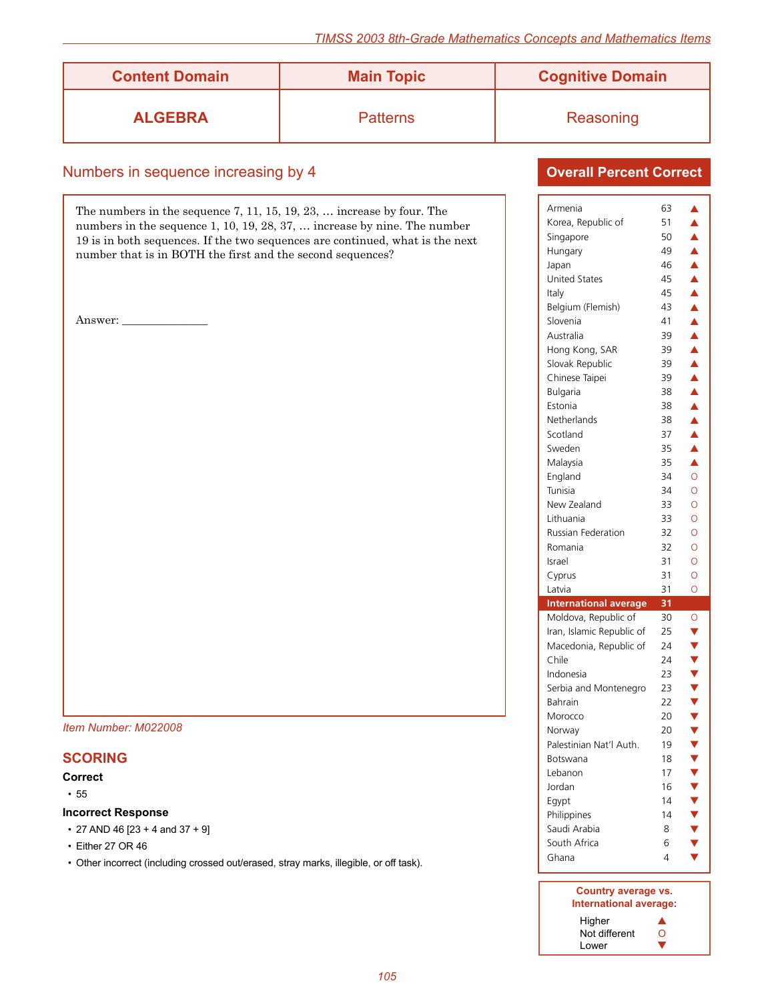| <b>Content Domain</b> | <b>Main Topic</b> | <b>Cognitive Domain</b> |
|-----------------------|-------------------|-------------------------|
| <b>ALGEBRA</b>        | <b>Patterns</b>   | Reasoning               |

### Numbers in sequence increasing by 4

The numbers in the sequence 7, 11, 15, 19, 23, … increase by four. The numbers in the sequence 1, 10, 19, 28, 37, … increase by nine. The number 19 is in both sequences. If the two sequences are continued, what is the next number that is in BOTH the first and the second sequences?

Answer:

#### *Item Number: M022008*

### **SCORING**

#### **Correct**

 $• 55$ 

#### **Incorrect Response**

• 27 AND 46  $[23 + 4$  and 37 + 9]

- Either 27 OR 46
- Other incorrect (including crossed out/erased, stray marks, illegible, or off task).

| Armenia                                           | 63 | ▲                          |
|---------------------------------------------------|----|----------------------------|
| Korea, Republic of                                | 51 | ▲                          |
| Singapore                                         | 50 | $\blacktriangle$           |
| Hungary                                           | 49 | $\blacktriangle$           |
| Japan                                             | 46 | $\blacktriangle$           |
| <b>United States</b>                              | 45 | $\blacktriangle$           |
| Italy                                             | 45 | $\blacktriangle$           |
| Belgium (Flemish)                                 | 43 | $\blacktriangle$           |
| Slovenia                                          | 41 | $\blacktriangle$           |
| Australia                                         | 39 | $\blacktriangle$           |
| Hong Kong, SAR                                    | 39 | $\blacktriangle$           |
| Slovak Republic                                   | 39 | $\blacktriangle$           |
| Chinese Taipei                                    | 39 | $\blacktriangle$           |
| Bulgaria                                          | 38 | $\blacktriangle$           |
| Estonia                                           | 38 | $\blacktriangle$           |
| Netherlands                                       | 38 | $\blacktriangle$           |
| Scotland                                          | 37 | $\blacktriangle$           |
| Sweden                                            | 35 | $\blacktriangle$           |
| Malaysia                                          | 35 | $\blacktriangle$           |
| England                                           | 34 | Ö                          |
| Tunisia                                           | 34 | Ō                          |
| New Zealand                                       | 33 | Ō                          |
| Lithuania                                         | 33 | Ō                          |
| <b>Russian Federation</b>                         | 32 | Ō                          |
| Romania                                           | 32 | Ō                          |
| Israel                                            | 31 | Ō                          |
| Cyprus                                            | 31 | Ō                          |
| Latvia                                            | 31 | Ō                          |
| <b>International average</b>                      | 31 |                            |
|                                                   | 30 |                            |
| Moldova, Republic of<br>Iran, Islamic Republic of | 25 | O                          |
|                                                   | 24 | <b>v v v v v v v v v</b>   |
| Macedonia, Republic of<br>Chile                   | 24 |                            |
| Indonesia                                         | 23 |                            |
| Serbia and Montenegro                             | 23 |                            |
|                                                   | 22 |                            |
| Bahrain                                           |    |                            |
| Morocco                                           | 20 |                            |
| Norway                                            | 20 | Ý                          |
| Palestinian Nat'l Auth.                           | 19 |                            |
| Botswana                                          | 18 |                            |
| Lebanon                                           | 17 |                            |
| Jordan                                            | 16 |                            |
| Egypt                                             | 14 |                            |
| Philippines                                       | 14 |                            |
| Saudi Arabia                                      | 8  | V<br>V<br>V<br>V<br>V<br>V |
| South Africa                                      | 6  |                            |
|                                                   |    |                            |
| Ghana                                             | 4  |                            |

| Country average vs.<br>International average: |   |
|-----------------------------------------------|---|
| Higher                                        |   |
| Not different                                 | 0 |
| Lower                                         |   |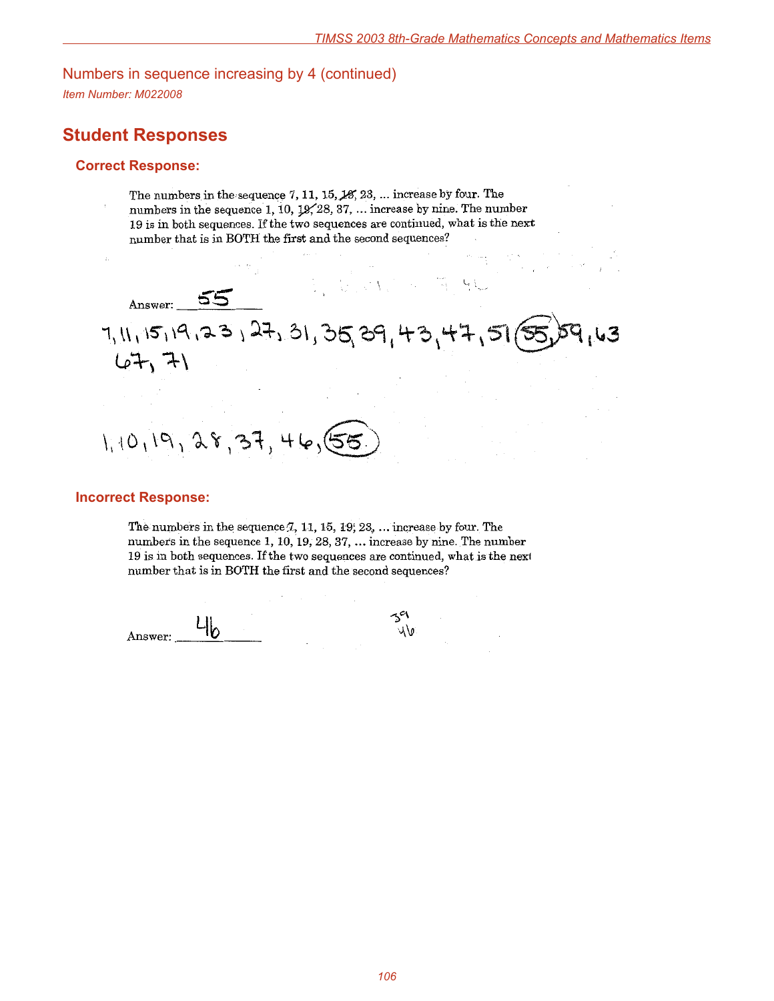### Numbers in sequence increasing by 4 (continued)

*Item Number: M022008*

# **Student Responses**

#### **Correct Response:**

numbers in the sequence 1, 10, 19, 28, 37, ... increase by nine. The number 19 is in both sequences. If the two sequences are continued, what is the next number that is in BOTH the first and the second sequences? Answer: 55  $7, 11, 15, 19, 23, 27, 31, 35, 39, 43, 47, 51$  $\overline{\mathcal{L}}$  $(67, 7)$  $1, 10, 19, 28, 37, 46, 55$ 

The numbers in the sequence 7, 11, 15, 18, 23, ... increase by four. The

#### **Incorrect Response:**

The numbers in the sequence  $7, 11, 15, 19, 23, \ldots$  increase by four. The numbers in the sequence 1, 10, 19, 28, 37, ... increase by nine. The number 19 is in both sequences. If the two sequences are continued, what is the next number that is in BOTH the first and the second sequences?

 $L_{\mathbf{b}}$ ub Answer: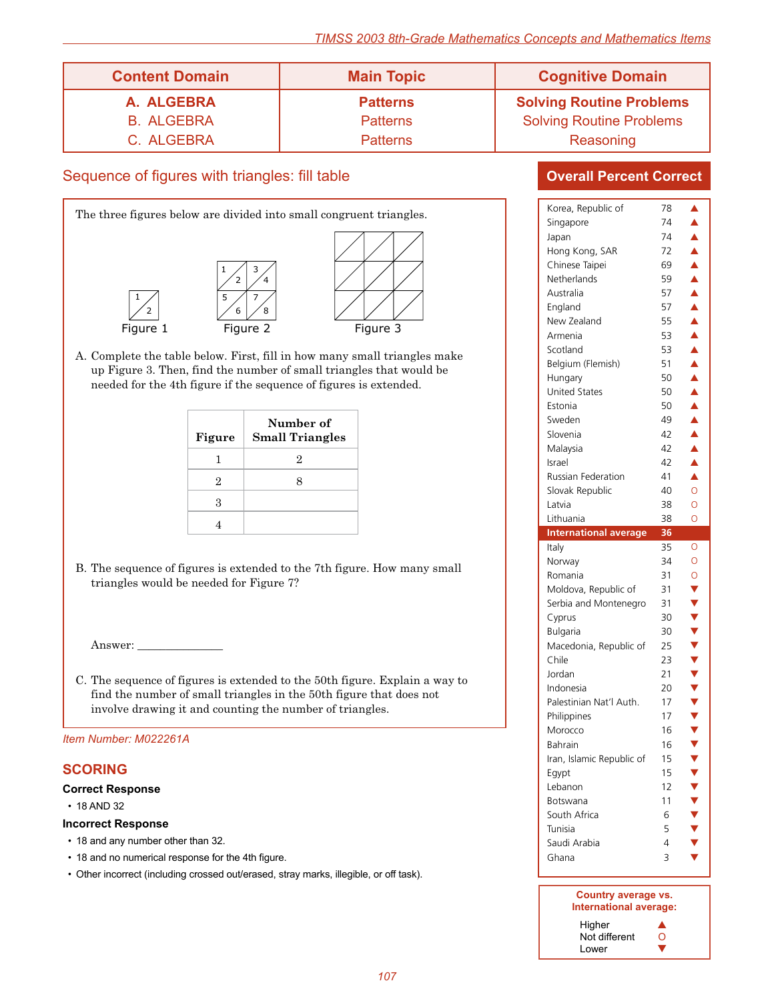| <b>Content Domain</b> | <b>Main Topic</b> | <b>Cognitive Domain</b>         |
|-----------------------|-------------------|---------------------------------|
| A. ALGEBRA            | <b>Patterns</b>   | <b>Solving Routine Problems</b> |
| <b>B. ALGEBRA</b>     | <b>Patterns</b>   | <b>Solving Routine Problems</b> |
| C. ALGEBRA            | <b>Patterns</b>   | Reasoning                       |

### Sequence of figures with triangles: fill table



A. Complete the table below. First, fill in how many small triangles make up Figure 3. Then, find the number of small triangles that would be needed for the 4th figure if the sequence of figures is extended.

| Figure | Number of<br><b>Small Triangles</b> |
|--------|-------------------------------------|
| ı      | 2                                   |
| 2      |                                     |
| З      |                                     |
|        |                                     |

B. The sequence of figures is extended to the 7th figure. How many small triangles would be needed for Figure 7?

Answer:

C. The sequence of figures is extended to the 50th figure. Explain a way to find the number of small triangles in the 50th figure that does not involve drawing it and counting the number of triangles.

#### *Item Number: M022261A*

### **SCORING**

#### **Correct Response**

• 18 AND 32

#### **Incorrect Response**

- 18 and any number other than 32.
- 18 and no numerical response for the 4th figure.
- Other incorrect (including crossed out/erased, stray marks, illegible, or off task).

| Korea, Republic of           | 78       | ▲                    |
|------------------------------|----------|----------------------|
| Singapore                    | 74       | $\blacktriangle$     |
| Japan                        | 74       | ▲                    |
| Hong Kong, SAR               | 72       | $\blacktriangle$     |
| Chinese Taipei               | 69       | $\blacktriangle$     |
| Netherlands                  | 59       | $\blacktriangle$     |
| Australia                    | 57       | $\blacktriangle$     |
| England                      | 57       | $\blacktriangle$     |
| New Zealand                  | 55       | $\blacktriangle$     |
| Armenia                      | 53       | $\blacktriangle$     |
| Scotland                     | 53       | $\blacktriangle$     |
| Belgium (Flemish)            | 51       | $\blacktriangle$     |
| Hungary                      | 50       | $\blacktriangle$     |
| <b>United States</b>         | 50       | $\blacktriangle$     |
| Estonia                      | 50       | $\blacktriangle$     |
|                              |          |                      |
| Sweden                       | 49       | $\blacktriangle$     |
| Slovenia                     | 42       | $\blacktriangle$     |
| Malaysia                     | 42       | $\blacktriangle$     |
| Israel                       | 42       | $\blacktriangle$     |
| <b>Russian Federation</b>    | 41       | Á                    |
| Slovak Republic              | 40       | $\overline{O}$       |
| Latvia                       | 38       | Ō                    |
| Lithuania                    | 38       | Ō                    |
| <b>International average</b> | 36       |                      |
|                              |          |                      |
| Italy                        | 35       | $\circ$              |
| Norway                       | 34       | $\circ$              |
| Romania                      | 31       | $\circ$              |
| Moldova, Republic of         | 31       |                      |
| Serbia and Montenegro        | 31       |                      |
| Cyprus                       | 30       |                      |
| Bulgaria                     | 30       |                      |
| Macedonia, Republic of       | 25       |                      |
| Chile                        | 23       |                      |
| Jordan                       | 21       |                      |
| Indonesia                    | 20       |                      |
| Palestinian Nat'l Auth.      | 17       |                      |
| Philippines                  | 17       |                      |
| Morocco                      | 16       |                      |
| <b>Bahrain</b>               | 16       | <b>▼▼▼▼▼▼▼▼▼▼▼▼▼</b> |
|                              | 15       |                      |
| Iran, Islamic Republic of    |          |                      |
| Egypt                        | 15       |                      |
| Lebanon<br><b>Botswana</b>   | 12<br>11 |                      |
| South Africa                 | 6        |                      |
| Tunisia                      |          |                      |
|                              | 5        |                      |
| Saudi Arabia<br>Ghana        | 4<br>3   | <b>AAAAAA</b>        |

| Country average vs.<br>International average: |            |  |
|-----------------------------------------------|------------|--|
| Higher                                        |            |  |
| Not different                                 | $^{\circ}$ |  |
| Lower                                         |            |  |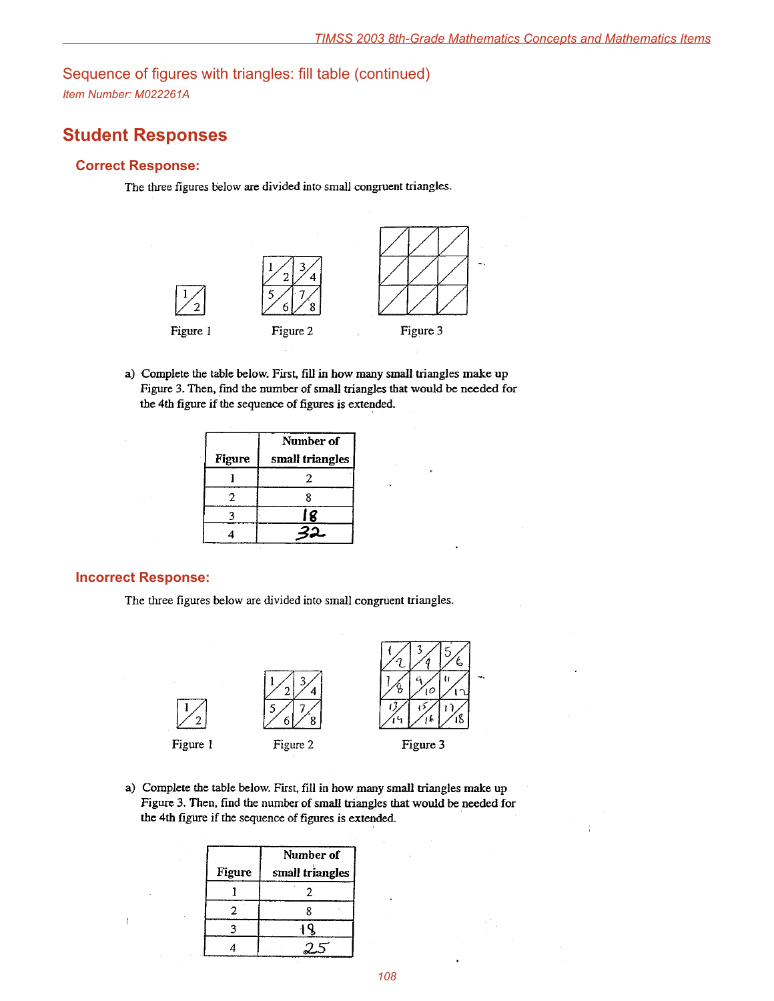# Sequence of figures with triangles: fill table (continued)

*Item Number: M022261A*

# **Student Responses**

#### **Correct Response:**

The three figures below are divided into small congruent triangles.



a) Complete the table below. First, fill in how many small triangles make up Figure 3. Then, find the number of small triangles that would be needed for the 4th figure if the sequence of figures is extended.

|               | Number of       |  |
|---------------|-----------------|--|
| <b>Figure</b> | small triangles |  |
|               | 2               |  |
| 2             |                 |  |
|               | 18              |  |
|               |                 |  |

#### **Incorrect Response:**

 $\overline{1}$ 

The three figures below are divided into small congruent triangles.



a) Complete the table below. First, fill in how many small triangles make up Figure 3. Then, find the number of small triangles that would be needed for the 4th figure if the sequence of figures is extended.

|        | Number of       |  |
|--------|-----------------|--|
| Figure | small triangles |  |
|        |                 |  |
|        | R               |  |
|        |                 |  |
|        |                 |  |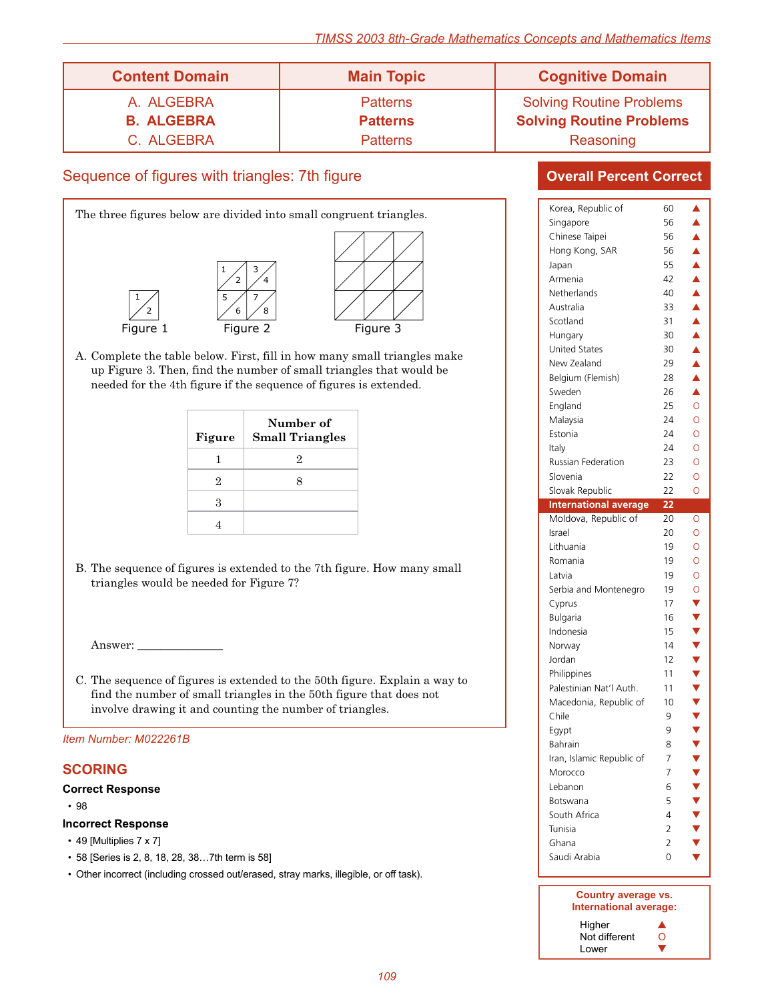| <b>Content Domain</b> | <b>Main Topic</b> | <b>Cognitive Domain</b>         |
|-----------------------|-------------------|---------------------------------|
| A. ALGEBRA            | <b>Patterns</b>   | <b>Solving Routine Problems</b> |
| <b>B. ALGEBRA</b>     | <b>Patterns</b>   | <b>Solving Routine Problems</b> |
| C. ALGEBRA            | <b>Patterns</b>   | Reasoning                       |

### Sequence of figures with triangles: 7th figure



A. Complete the table below. First, fill in how many small triangles make up Figure 3. Then, find the number of small triangles that would be needed for the 4th figure if the sequence of figures is extended.

| Figure | Number of<br><b>Small Triangles</b> |
|--------|-------------------------------------|
| ı      | 2                                   |
| 2      |                                     |
| 3      |                                     |
|        |                                     |

B. The sequence of figures is extended to the 7th figure. How many small triangles would be needed for Figure 7?

Answer:

C. The sequence of figures is extended to the 50th figure. Explain a way to find the number of small triangles in the 50th figure that does not involve drawing it and counting the number of triangles.

*Item Number: M022261B*

#### **SCORING**

#### **Correct Response**

• 98

#### **Incorrect Response**

- 49 [Multiplies  $7 \times 7$ ]
- • 58 [Series is 2, 8, 18, 28, 38…7th term is 58]
- Other incorrect (including crossed out/erased, stray marks, illegible, or off task).

| Korea, Republic of           | 60 | ▲                |
|------------------------------|----|------------------|
| Singapore                    | 56 | ▲                |
| Chinese Taipei               | 56 | $\blacktriangle$ |
| Hong Kong, SAR               | 56 | $\blacktriangle$ |
| Japan                        | 55 | $\blacktriangle$ |
| Armenia                      | 42 | $\blacktriangle$ |
| Netherlands                  | 40 | $\blacktriangle$ |
| Australia                    | 33 | $\blacktriangle$ |
| Scotland                     | 31 | $\blacktriangle$ |
| Hungary                      | 30 | $\blacktriangle$ |
| <b>United States</b>         | 30 | $\blacktriangle$ |
| New Zealand                  | 29 | $\blacktriangle$ |
| Belgium (Flemish)            | 28 | $\blacktriangle$ |
| Sweden                       | 26 | Â                |
|                              | 25 | $\circ$          |
| England                      | 24 | Ō                |
| Malaysia                     |    |                  |
| Estonia                      | 24 | O                |
| Italy                        | 24 | O                |
| <b>Russian Federation</b>    | 23 | O                |
| Slovenia                     | 22 | O                |
| Slovak Republic              | 22 | O                |
| <b>International average</b> | 22 |                  |
| Moldova, Republic of         | 20 | 0                |
| Israel                       | 20 | O                |
| Lithuania                    | 19 | O                |
| Romania                      | 19 | O                |
| Latvia                       | 19 | $\overline{O}$   |
| Serbia and Montenegro        | 19 | O                |
| Cyprus                       | 17 |                  |
| <b>Bulgaria</b>              | 16 |                  |
| Indonesia                    | 15 |                  |
| Norway                       | 14 |                  |
| Jordan                       | 12 |                  |
| Philippines                  | 11 |                  |
| Palestinian Nat'l Auth.      | 11 |                  |
| Macedonia, Republic of       | 10 |                  |
| Chile                        | 9  |                  |
| Egypt                        |    |                  |
|                              |    |                  |
|                              | 9  |                  |
| Bahrain                      | 8  | ,,,,,,,,,,,,,,,  |
| Iran, Islamic Republic of    | 7  |                  |
| Morocco                      | 7  |                  |
| Lebanon                      | 6  |                  |
| Botswana                     | 5  |                  |
| South Africa                 | 4  |                  |
| Tunisia                      | 2  |                  |
| Ghana                        | 2  |                  |
| Saudi Arabia                 | 0  |                  |

| Country average vs.    |   |  |
|------------------------|---|--|
| International average: |   |  |
| Higher                 |   |  |
| Not different          | 0 |  |
| Lower                  |   |  |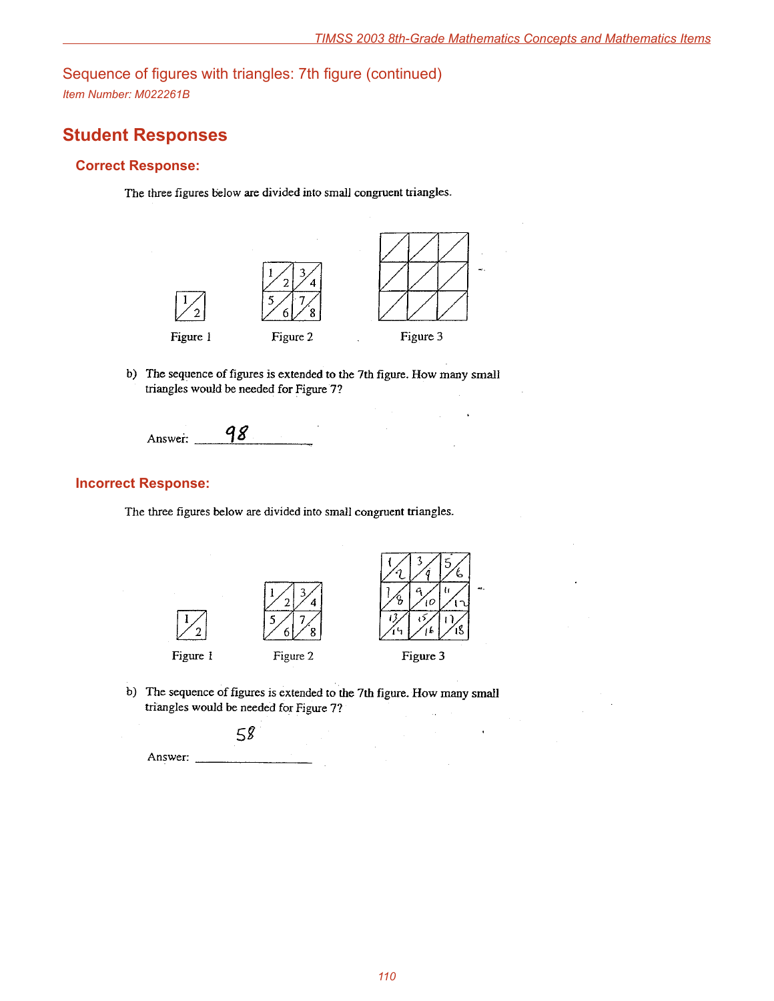Sequence of figures with triangles: 7th figure (continued) *Item Number: M022261B*

# **Student Responses**

### **Correct Response:**

The three figures below are divided into small congruent triangles.



b) The sequence of figures is extended to the 7th figure. How many small triangles would be needed for Figure 7?

98 Answer:

### **Incorrect Response:**

The three figures below are divided into small congruent triangles.



b) The sequence of figures is extended to the 7th figure. How many small triangles would be needed for Figure 7?

 $58$ 

Answer: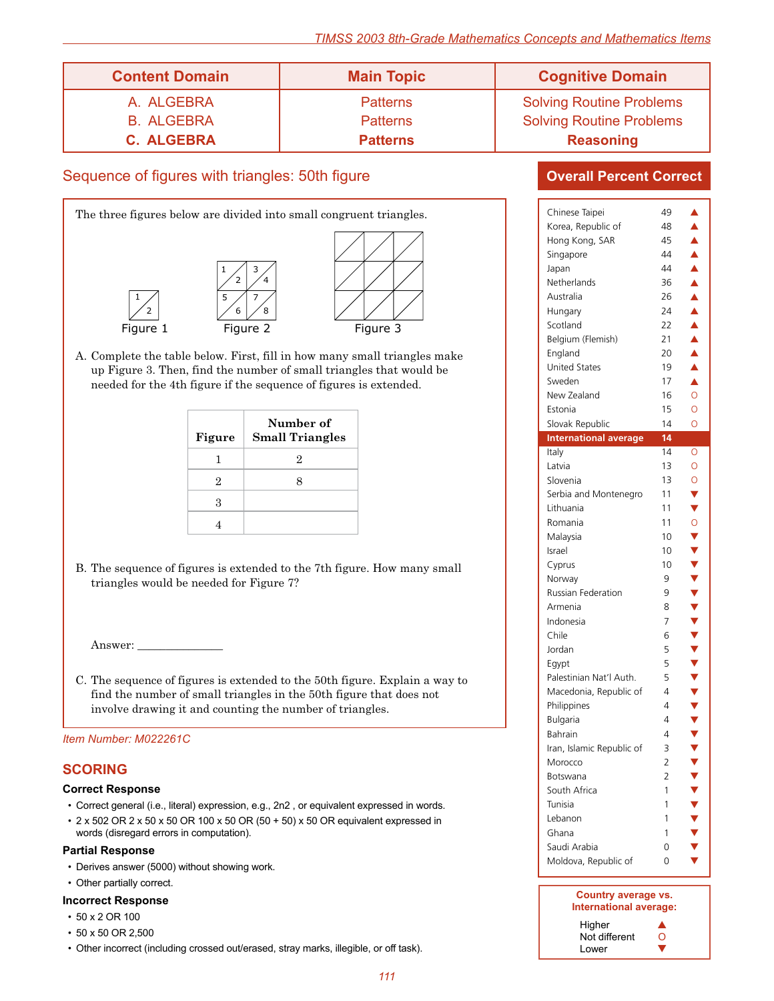| <b>Content Domain</b> | <b>Main Topic</b> | <b>Cognitive Domain</b>         |
|-----------------------|-------------------|---------------------------------|
| A. ALGEBRA            | <b>Patterns</b>   | <b>Solving Routine Problems</b> |
| <b>B. ALGEBRA</b>     | <b>Patterns</b>   | <b>Solving Routine Problems</b> |
| <b>C. ALGEBRA</b>     | <b>Patterns</b>   | <b>Reasoning</b>                |

### Sequence of figures with triangles: 50th figure



A. Complete the table below. First, fill in how many small triangles make up Figure 3. Then, find the number of small triangles that would be needed for the 4th figure if the sequence of figures is extended.

| Figure | Number of<br><b>Small Triangles</b> |
|--------|-------------------------------------|
| ı      | 2                                   |
| 2      |                                     |
| З      |                                     |
|        |                                     |

B. The sequence of figures is extended to the 7th figure. How many small triangles would be needed for Figure 7?

Answer:

C. The sequence of figures is extended to the 50th figure. Explain a way to find the number of small triangles in the 50th figure that does not involve drawing it and counting the number of triangles.

#### *Item Number: M022261C*

#### **SCORING**

#### **Correct Response**

- • Correct general (i.e., literal) expression, e.g., 2n2 , or equivalent expressed in words.
- $2 \times 502$  OR  $2 \times 50 \times 50$  OR  $100 \times 50$  OR  $(50 + 50) \times 50$  OR equivalent expressed in words (disregard errors in computation).

#### **Partial Response**

- Derives answer (5000) without showing work.
- Other partially correct.

#### **Incorrect Response**

- 50 x 2 OR 100
- • 50 x 50 OR 2,500
- Other incorrect (including crossed out/erased, stray marks, illegible, or off task).

| Chinese Taipei<br>Korea, Republic of<br>Hong Kong, SAR<br>Singapore<br>Japan<br>Netherlands<br>Australia<br>Hungary<br>Scotland<br>Belgium (Flemish)<br>England                                                                                                             | 49<br>48<br>45<br>44<br>44<br>36<br>26<br>24<br>22<br>21<br>20                                      | ▲<br>▲<br>▲<br>$\blacktriangle$<br>$\blacktriangle$<br>▲<br>$\blacktriangle$<br>$\blacktriangle$<br>$\blacktriangle$<br>$\blacktriangle$<br>$\blacktriangle$ |
|-----------------------------------------------------------------------------------------------------------------------------------------------------------------------------------------------------------------------------------------------------------------------------|-----------------------------------------------------------------------------------------------------|--------------------------------------------------------------------------------------------------------------------------------------------------------------|
| <b>United States</b><br>Sweden<br>New Zealand<br>Estonia<br>Slovak Republic                                                                                                                                                                                                 | 19<br>17<br>16<br>15<br>14                                                                          | Â<br>▲<br>O<br>O<br>O                                                                                                                                        |
| <b>International average</b><br>Italy                                                                                                                                                                                                                                       | 14<br>14                                                                                            | O                                                                                                                                                            |
| Slovenia<br>Serbia and Montenegro<br>Lithuania<br>Romania<br>Malaysia<br>Israel<br>Cyprus<br>Norway<br><b>Russian Federation</b><br>Armenia                                                                                                                                 | 13<br>11<br>11<br>11<br>10<br>10<br>10<br>9<br>9<br>8                                               | $\overline{O}$<br>Ý<br>$\overline{\textbf{v}}$<br>$\overline{O}$<br>Ý<br>Y<br>Y<br>Y<br>Y                                                                    |
| Indonesia<br>Chile<br>Jordan<br>Egypt<br>Palestinian Nat'l Auth.<br>Macedonia, Republic of<br>Philippines<br>Bulgaria<br>Bahrain<br>Iran, Islamic Republic of<br>Morocco<br>Botswana<br>South Africa<br>Tunisia<br>Lebanon<br>Ghana<br>Saudi Arabia<br>Moldova, Republic of | 7<br>6<br>5<br>5<br>5<br>4<br>4<br>4<br>4<br>3<br>$\overline{2}$<br>2<br>1<br>1<br>1<br>1<br>0<br>0 | , , , , , , , , , , , , ,                                                                                                                                    |

| Country average vs.<br>International average: |   |  |
|-----------------------------------------------|---|--|
| Higher                                        |   |  |
| Not different                                 | 0 |  |
| I ower                                        |   |  |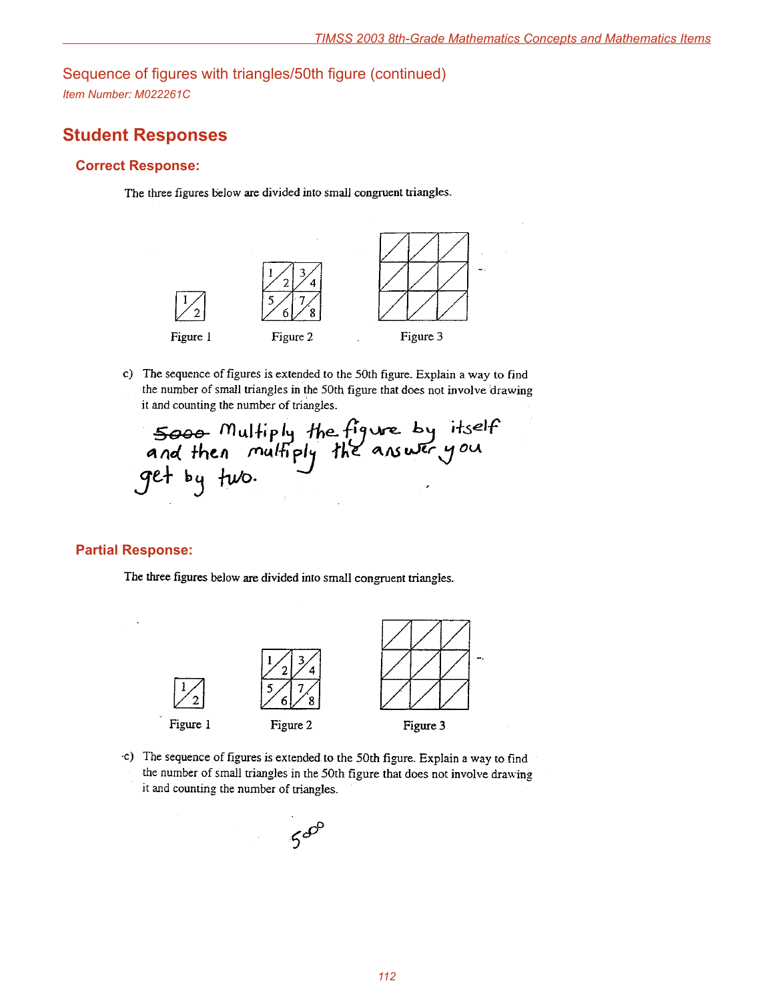Sequence of figures with triangles/50th figure (continued) *Item Number: M022261C*

# **Student Responses**

#### **Correct Response:**

The three figures below are divided into small congruent triangles.



c) The sequence of figures is extended to the 50th figure. Explain a way to find the number of small triangles in the 50th figure that does not involve drawing it and counting the number of triangles.

5000 Multiply the figure by itself<br>and then multiply the answer you<br>get by two.

#### **Partial Response:**

The three figures below are divided into small congruent triangles.



c) The sequence of figures is extended to the 50th figure. Explain a way to find the number of small triangles in the 50th figure that does not involve drawing it and counting the number of triangles.

 $5^{60}$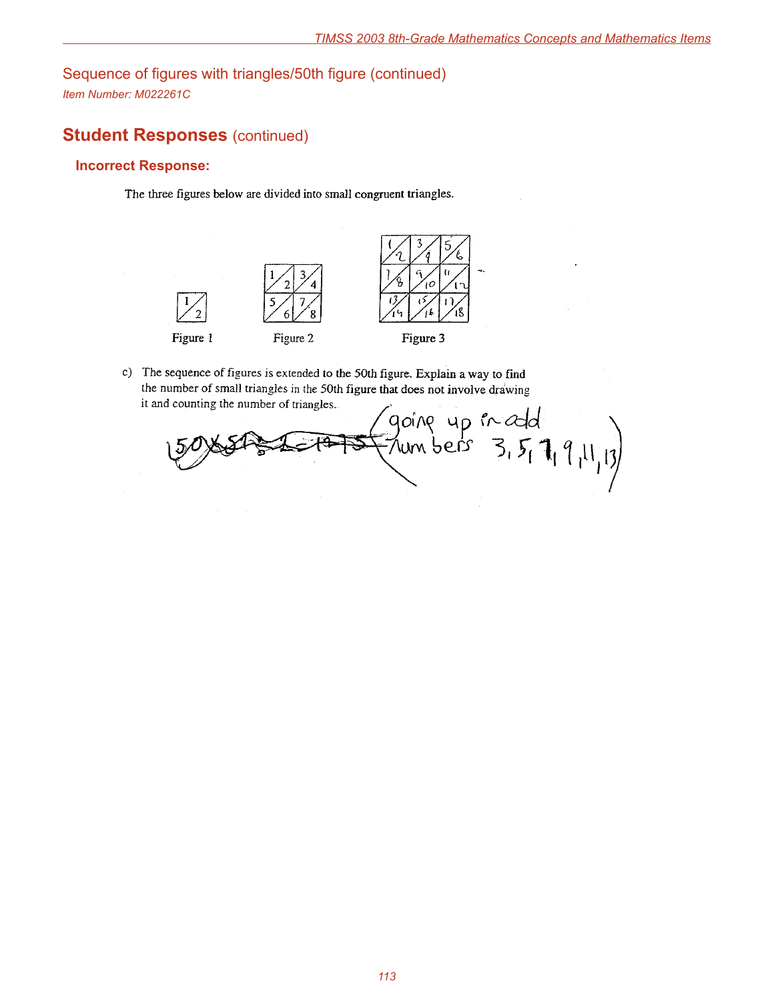Sequence of figures with triangles/50th figure (continued) *Item Number: M022261C*

# **Student Responses (continued)**

### **Incorrect Response:**

The three figures below are divided into small congruent triangles.



c) The sequence of figures is extended to the 50th figure. Explain a way to find the number of small triangles in the 50th figure that does not involve drawing it and counting the number of triangles.

going up in cold<br>- Numbers 3, 5, 7, 9, 11, 13)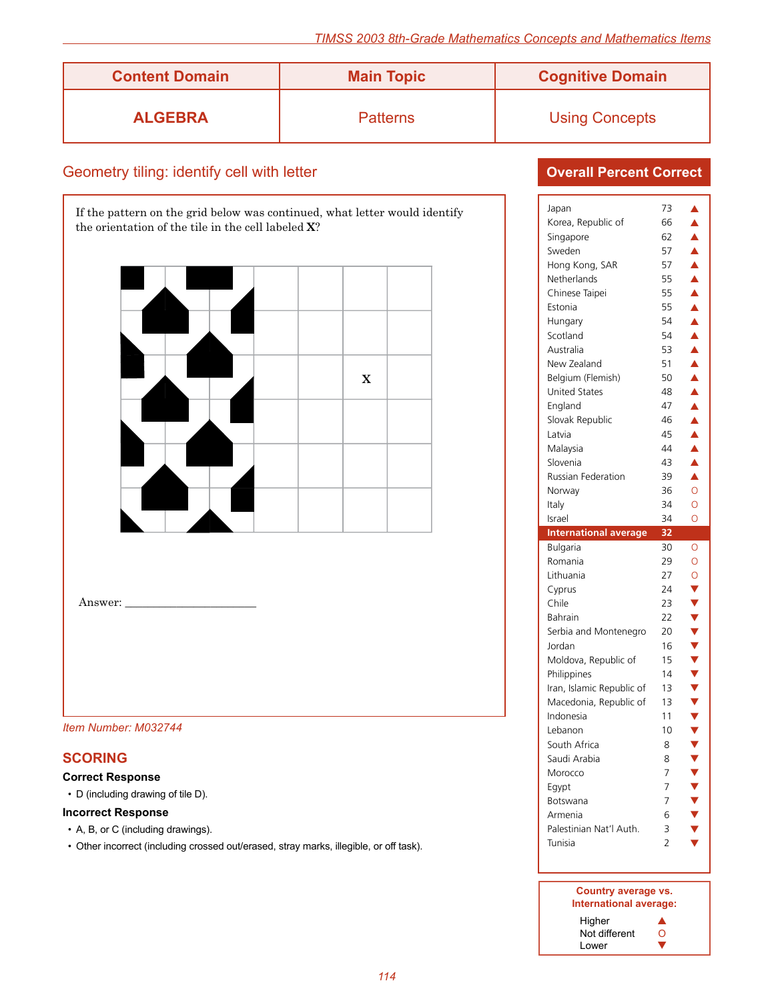| <b>Content Domain</b> | <b>Main Topic</b> | <b>Cognitive Domain</b> |
|-----------------------|-------------------|-------------------------|
| <b>ALGEBRA</b>        | <b>Patterns</b>   | <b>Using Concepts</b>   |

### Geometry tiling: identify cell with letter

If the pattern on the grid below was continued, what letter would identify the orientation of the tile in the cell labeled **X**?



*Item Number: M032744*

### **SCORING**

Answer:

#### **Correct Response**

• D (including drawing of tile D).

#### **Incorrect Response**

- A, B, or C (including drawings).
- Other incorrect (including crossed out/erased, stray marks, illegible, or off task).

| Japan                        | 73             | ▲                                       |
|------------------------------|----------------|-----------------------------------------|
| Korea, Republic of           | 66             | ▲                                       |
| Singapore                    | 62             | $\blacktriangle$                        |
| Sweden                       | 57             | $\blacktriangle$                        |
| Hong Kong, SAR               | 57             | $\blacktriangle$                        |
| Netherlands                  | 55             | $\blacktriangle$                        |
| Chinese Taipei               | 55             | $\blacktriangle$                        |
| Estonia                      | 55             | $\blacktriangle$                        |
| Hungary                      | 54             | $\blacktriangle$                        |
| Scotland                     | 54             | $\frac{\blacktriangle}{\blacktriangle}$ |
| Australia                    | 53             |                                         |
| New Zealand                  | 51             | $\blacktriangle$                        |
| Belgium (Flemish)            | 50             | $\blacktriangle$                        |
| <b>United States</b>         | 48             | $\blacktriangle$                        |
| England                      | 47             | $\blacktriangle$                        |
| Slovak Republic              | 46             | $\blacktriangle$                        |
| Latvia                       | 45             | $\triangle$                             |
| Malaysia                     | 44             |                                         |
| Slovenia                     | 43             | $\blacktriangle$                        |
| <b>Russian Federation</b>    | 39             | $\blacktriangle$                        |
| Norway                       | 36             | $\overline{O}$                          |
| Italy                        | 34             | $\overline{O}$                          |
| Israel                       | 34             | O                                       |
|                              |                |                                         |
| <b>International average</b> | 32             |                                         |
| <b>Bulgaria</b>              | 30             | $\circ$                                 |
| Romania                      | 29             | $\overline{O}$                          |
| Lithuania                    | 27             | $\circ$                                 |
| Cyprus                       | 24             |                                         |
| Chile                        | 23             |                                         |
| Bahrain                      | 22             |                                         |
| Serbia and Montenegro        | 20             |                                         |
| Jordan                       | 16             | VVVVV                                   |
| Moldova, Republic of         | 15             |                                         |
| Philippines                  | 14             |                                         |
| Iran, Islamic Republic of    | 13             |                                         |
| Macedonia, Republic of       | 13             |                                         |
| Indonesia                    | 11             |                                         |
| l ebanon                     | 10             | <b><br/> ▼ ▼ ▼ ▼ ▼ ▼</b>                |
| South Africa                 | 8              |                                         |
| Saudi Arabia                 | 8              |                                         |
| Morocco                      | 7              |                                         |
| Egypt                        | 7              |                                         |
| Botswana                     | 7              |                                         |
| Armenia                      | 6              |                                         |
| Palestinian Nat'l Auth.      | 3              | V<br>V<br>V<br>V                        |
| Tunisia                      | $\overline{2}$ |                                         |

| Country average vs.<br>International average: |   |
|-----------------------------------------------|---|
| Higher                                        |   |
| Not different                                 | 0 |
| Lower                                         |   |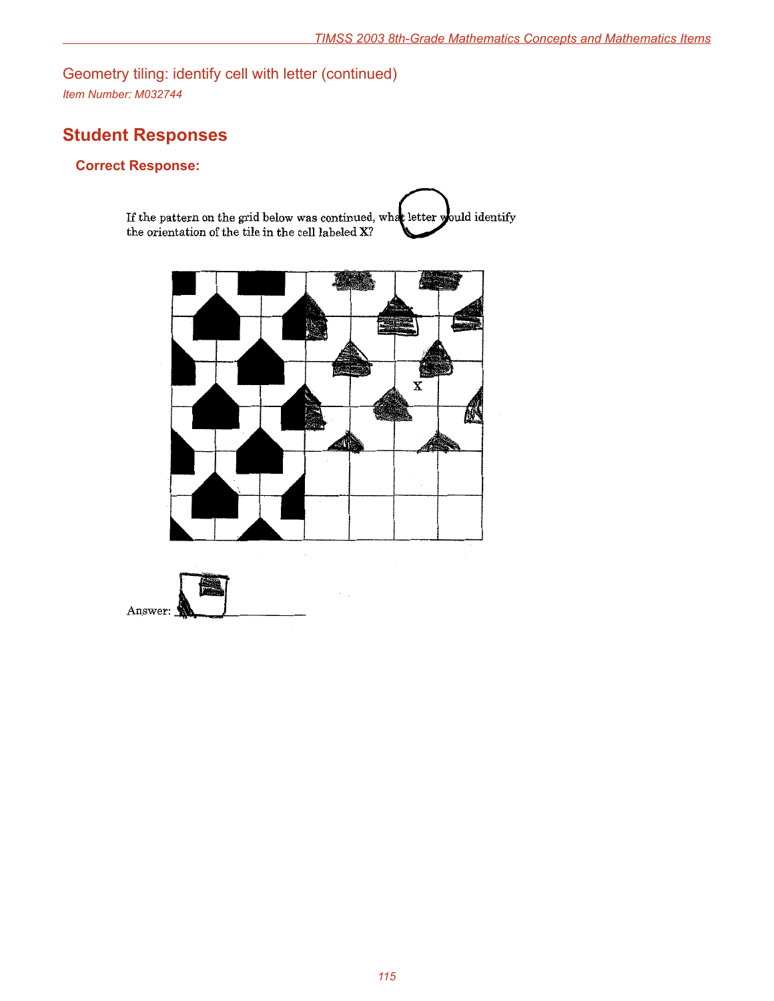Geometry tiling: identify cell with letter (continued) *Item Number: M032744*

# **Student Responses**

### **Correct Response:**

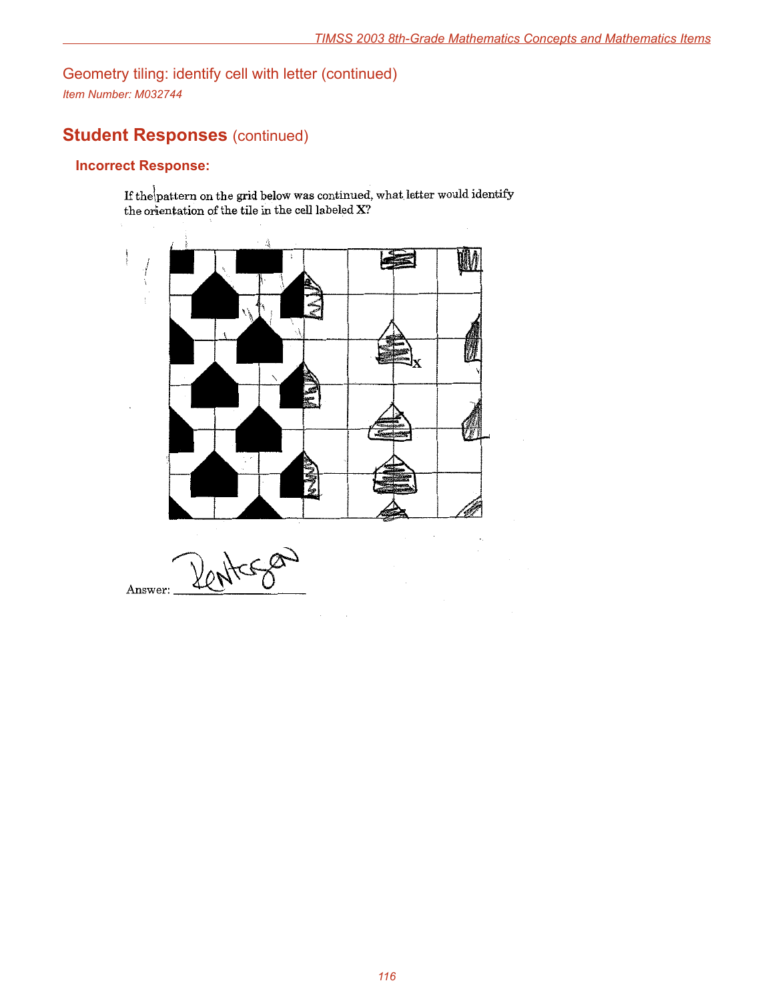Geometry tiling: identify cell with letter (continued) *Item Number: M032744*

# **Student Responses (continued)**

### **Incorrect Response:**

If the pattern on the grid below was continued, what letter would identify the orientation of the tile in the cell labeled X?

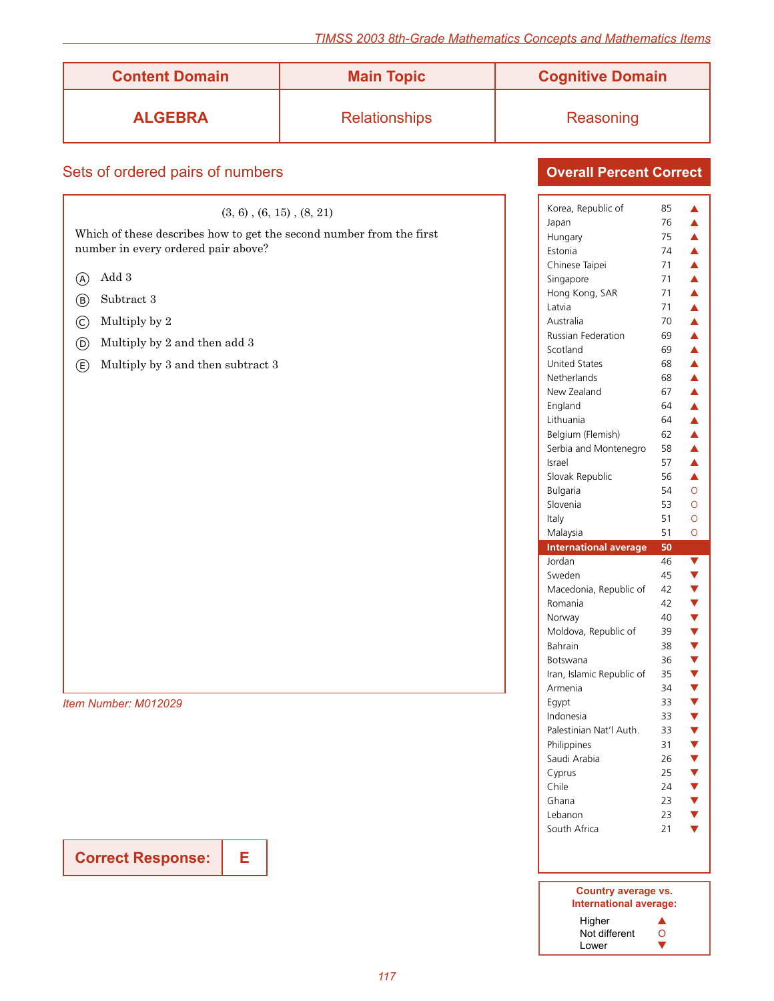| <b>Content Domain</b>                                                                                                                                                                                                                                                                                                             | <b>Main Topic</b>    | <b>Cognitive Domain</b>                                                                                                                                                                                                                                                                                                                                                                                                                                                                                                                                     |                                                                                                                                                                                                                                                                                                                                                                                                                                                                                                                                                                                                                                                                                                                                                                                                         |  |
|-----------------------------------------------------------------------------------------------------------------------------------------------------------------------------------------------------------------------------------------------------------------------------------------------------------------------------------|----------------------|-------------------------------------------------------------------------------------------------------------------------------------------------------------------------------------------------------------------------------------------------------------------------------------------------------------------------------------------------------------------------------------------------------------------------------------------------------------------------------------------------------------------------------------------------------------|---------------------------------------------------------------------------------------------------------------------------------------------------------------------------------------------------------------------------------------------------------------------------------------------------------------------------------------------------------------------------------------------------------------------------------------------------------------------------------------------------------------------------------------------------------------------------------------------------------------------------------------------------------------------------------------------------------------------------------------------------------------------------------------------------------|--|
| <b>ALGEBRA</b>                                                                                                                                                                                                                                                                                                                    | <b>Relationships</b> | Reasoning                                                                                                                                                                                                                                                                                                                                                                                                                                                                                                                                                   |                                                                                                                                                                                                                                                                                                                                                                                                                                                                                                                                                                                                                                                                                                                                                                                                         |  |
| Sets of ordered pairs of numbers                                                                                                                                                                                                                                                                                                  |                      | <b>Overall Percent Correct</b>                                                                                                                                                                                                                                                                                                                                                                                                                                                                                                                              |                                                                                                                                                                                                                                                                                                                                                                                                                                                                                                                                                                                                                                                                                                                                                                                                         |  |
| $(3, 6)$ , $(6, 15)$ , $(8, 21)$<br>Which of these describes how to get the second number from the first<br>number in every ordered pair above?<br>Add 3<br>$\circledA$<br>Subtract 3<br>$(\mathsf{B})$<br>Multiply by 2<br>$\odot$<br>Multiply by 2 and then add 3<br>$^{\circledR}$<br>Multiply by 3 and then subtract 3<br>(E) |                      | Korea, Republic of<br>Japan<br>Hungary<br>Estonia<br>Chinese Taipei<br>Singapore<br>Hong Kong, SAR<br>Latvia<br>Australia<br>Russian Federation<br>Scotland<br>United States<br>Netherlands<br>New Zealand<br>England<br>Lithuania<br>Belgium (Flemish)<br>Serbia and Montenegro<br>Israel<br>Slovak Republic<br>Bulgaria<br>Slovenia<br>Italy<br>Malaysia<br><b>International average</b><br>Jordan<br>Sweden<br>Macedonia, Republic of<br>Romania<br>Norway<br>Moldova, Republic of<br>Bahrain<br><b>Botswana</b><br>Iran, Islamic Republic of<br>Armenia | 85<br>▲<br>76<br>$\blacktriangle$<br>$\blacktriangle$<br>75<br>74<br>$\blacktriangle$<br>71<br>$\blacktriangle$<br>71<br>$\blacktriangle$<br>71<br>$\blacktriangle$<br>71<br>$\blacktriangle$<br>70<br>$\blacktriangle$<br>69<br>$\blacktriangle$<br>69<br>$\blacktriangle$<br>68<br>$\blacktriangle$<br>68<br>$\blacktriangle$<br>67<br>$\blacktriangle$<br>64<br>$\blacktriangle$<br>64<br>$\blacktriangle$<br>$\blacktriangle$<br>62<br>58<br>$\blacktriangle$<br>57<br>$\blacktriangle$<br>56<br>$\blacktriangle$<br>54<br>$\circ$<br>53<br>$\circ$<br>51<br>$\circ$<br>51<br>$\circ$<br>50<br>46<br>$\blacktriangledown$<br>45<br>$\blacktriangledown$<br>42<br>▼<br>42<br>▼<br>40<br>39<br>$\blacktriangledown$<br>38<br>▼<br>36<br>$\blacktriangledown$<br>35<br>$\blacktriangledown$<br>34<br>▼ |  |
| Item Number: M012029                                                                                                                                                                                                                                                                                                              |                      | Eqypt<br>Indonesia<br>Palestinian Nat'l Auth.<br>Philippines                                                                                                                                                                                                                                                                                                                                                                                                                                                                                                | 33<br>▼<br>33<br>$\blacktriangledown$<br>33<br>$\blacktriangledown$<br>31<br>$\blacktriangledown$                                                                                                                                                                                                                                                                                                                                                                                                                                                                                                                                                                                                                                                                                                       |  |
|                                                                                                                                                                                                                                                                                                                                   |                      | Saudi Arabia<br>Cyprus<br>Chile<br>Ghana<br>Lebanon<br>South Africa                                                                                                                                                                                                                                                                                                                                                                                                                                                                                         | 26<br>$\blacktriangledown$<br>$\blacktriangledown$<br>25<br>24<br>$\blacktriangledown$<br>23<br>$\blacktriangledown$<br>23<br>$\blacktriangledown$<br>21<br>$\blacktriangledown$                                                                                                                                                                                                                                                                                                                                                                                                                                                                                                                                                                                                                        |  |

| Country average vs.<br>International average: |   |
|-----------------------------------------------|---|
| Higher                                        |   |
| Not different                                 | 0 |
| Lower                                         |   |